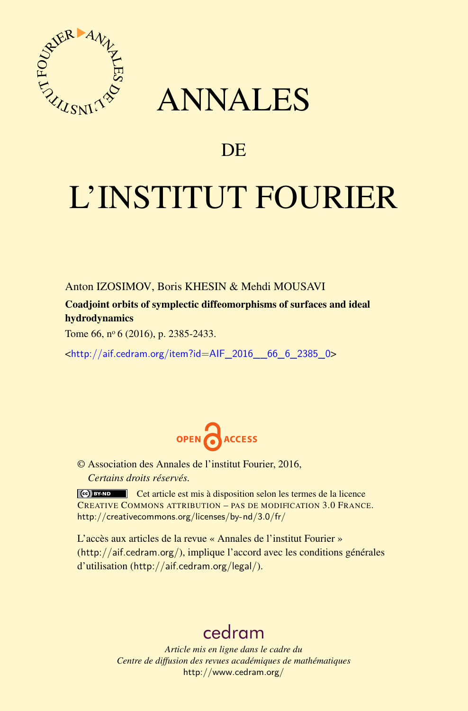

## ANNALES

### **DE**

# L'INSTITUT FOURIER

Anton IZOSIMOV, Boris KHESIN & Mehdi MOUSAVI

Coadjoint orbits of symplectic diffeomorphisms of surfaces and ideal hydrodynamics

Tome 66, nº 6 (2016), p. 2385-2433.

<[http://aif.cedram.org/item?id=AIF\\_2016\\_\\_66\\_6\\_2385\\_0](http://aif.cedram.org/item?id=AIF_2016__66_6_2385_0)>



© Association des Annales de l'institut Fourier, 2016, *Certains droits réservés.*

Cet article est mis à disposition selon les termes de la licence CREATIVE COMMONS ATTRIBUTION – PAS DE MODIFICATION 3.0 FRANCE. <http://creativecommons.org/licenses/by-nd/3.0/fr/>

L'accès aux articles de la revue « Annales de l'institut Fourier » (<http://aif.cedram.org/>), implique l'accord avec les conditions générales d'utilisation (<http://aif.cedram.org/legal/>).

## [cedram](http://www.cedram.org/)

*Article mis en ligne dans le cadre du Centre de diffusion des revues académiques de mathématiques* <http://www.cedram.org/>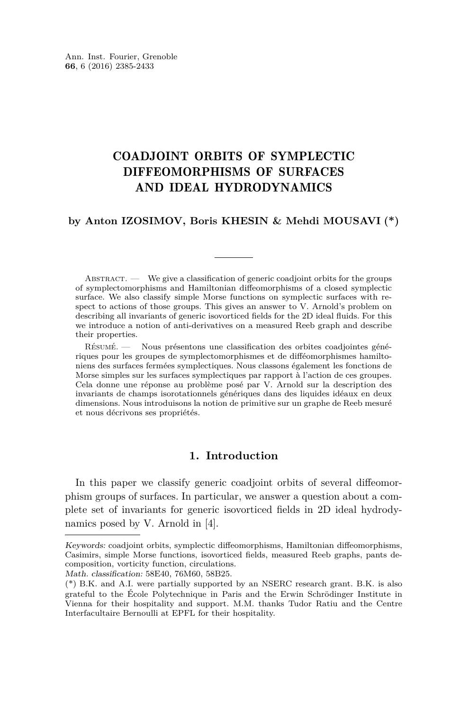#### COADJOINT ORBITS OF SYMPLECTIC DIFFEOMORPHISMS OF SURFACES AND IDEAL HYDRODYNAMICS

#### **by Anton IZOSIMOV, Boris KHESIN & Mehdi MOUSAVI (\*)**

ABSTRACT. — We give a classification of generic coadjoint orbits for the groups of symplectomorphisms and Hamiltonian diffeomorphisms of a closed symplectic surface. We also classify simple Morse functions on symplectic surfaces with respect to actions of those groups. This gives an answer to V. Arnold's problem on describing all invariants of generic isovorticed fields for the 2D ideal fluids. For this we introduce a notion of anti-derivatives on a measured Reeb graph and describe their properties.

Résumé. — Nous présentons une classification des orbites coadjointes génériques pour les groupes de symplectomorphismes et de difféomorphismes hamiltoniens des surfaces fermées symplectiques. Nous classons également les fonctions de Morse simples sur les surfaces symplectiques par rapport à l'action de ces groupes. Cela donne une réponse au problème posé par V. Arnold sur la description des invariants de champs isorotationnels génériques dans des liquides idéaux en deux dimensions. Nous introduisons la notion de primitive sur un graphe de Reeb mesuré et nous décrivons ses propriétés.

#### **1. Introduction**

In this paper we classify generic coadjoint orbits of several diffeomorphism groups of surfaces. In particular, we answer a question about a complete set of invariants for generic isovorticed fields in 2D ideal hydrodynamics posed by V. Arnold in [\[4\]](#page-48-0).

Math. classification: 58E40, 76M60, 58B25.

Keywords: coadjoint orbits, symplectic diffeomorphisms, Hamiltonian diffeomorphisms, Casimirs, simple Morse functions, isovorticed fields, measured Reeb graphs, pants decomposition, vorticity function, circulations.

<sup>(\*)</sup> B.K. and A.I. were partially supported by an NSERC research grant. B.K. is also grateful to the École Polytechnique in Paris and the Erwin Schrödinger Institute in Vienna for their hospitality and support. M.M. thanks Tudor Ratiu and the Centre Interfacultaire Bernoulli at EPFL for their hospitality.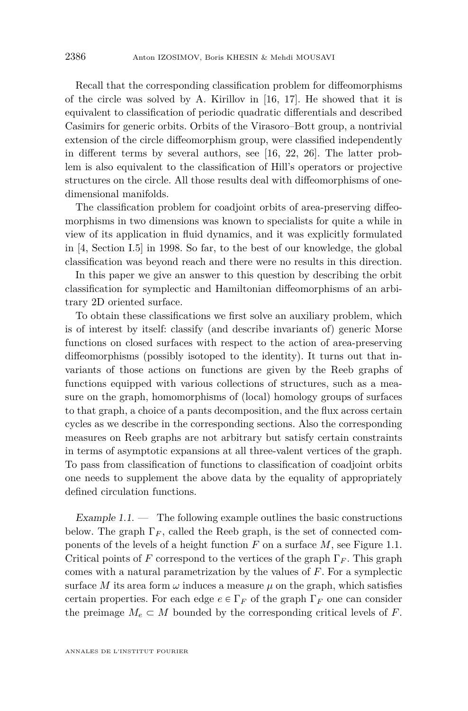Recall that the corresponding classification problem for diffeomorphisms of the circle was solved by A. Kirillov in [\[16,](#page-48-1) [17\]](#page-48-2). He showed that it is equivalent to classification of periodic quadratic differentials and described Casimirs for generic orbits. Orbits of the Virasoro–Bott group, a nontrivial extension of the circle diffeomorphism group, were classified independently in different terms by several authors, see [\[16,](#page-48-1) [22,](#page-48-3) [26\]](#page-49-0). The latter problem is also equivalent to the classification of Hill's operators or projective structures on the circle. All those results deal with diffeomorphisms of onedimensional manifolds.

The classification problem for coadjoint orbits of area-preserving diffeomorphisms in two dimensions was known to specialists for quite a while in view of its application in fluid dynamics, and it was explicitly formulated in [\[4,](#page-48-0) Section I.5] in 1998. So far, to the best of our knowledge, the global classification was beyond reach and there were no results in this direction.

In this paper we give an answer to this question by describing the orbit classification for symplectic and Hamiltonian diffeomorphisms of an arbitrary 2D oriented surface.

To obtain these classifications we first solve an auxiliary problem, which is of interest by itself: classify (and describe invariants of) generic Morse functions on closed surfaces with respect to the action of area-preserving diffeomorphisms (possibly isotoped to the identity). It turns out that invariants of those actions on functions are given by the Reeb graphs of functions equipped with various collections of structures, such as a measure on the graph, homomorphisms of (local) homology groups of surfaces to that graph, a choice of a pants decomposition, and the flux across certain cycles as we describe in the corresponding sections. Also the corresponding measures on Reeb graphs are not arbitrary but satisfy certain constraints in terms of asymptotic expansions at all three-valent vertices of the graph. To pass from classification of functions to classification of coadjoint orbits one needs to supplement the above data by the equality of appropriately defined circulation functions.

<span id="page-2-0"></span>Example  $1.1.$  — The following example outlines the basic constructions below. The graph  $\Gamma_F$ , called the Reeb graph, is the set of connected components of the levels of a height function *F* on a surface *M*, see Figure [1.1.](#page-3-0) Critical points of *F* correspond to the vertices of the graph  $\Gamma_F$ . This graph comes with a natural parametrization by the values of *F*. For a symplectic surface *M* its area form  $\omega$  induces a measure  $\mu$  on the graph, which satisfies certain properties. For each edge  $e \in \Gamma_F$  of the graph  $\Gamma_F$  one can consider the preimage  $M_e \subset M$  bounded by the corresponding critical levels of *F*.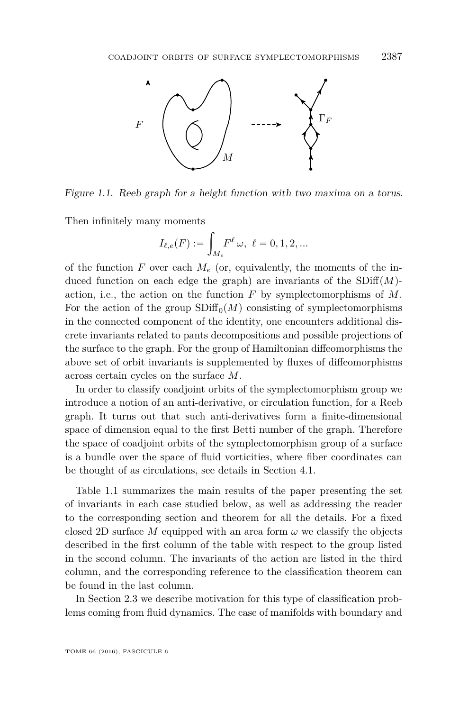

<span id="page-3-0"></span>Figure 1.1. Reeb graph for a height function with two maxima on a torus.

Then infinitely many moments

$$
I_{\ell,e}(F) := \int_{M_e} F^{\ell} \, \omega, \, \ell = 0, 1, 2, ...
$$

of the function  $F$  over each  $M_e$  (or, equivalently, the moments of the induced function on each edge the graph) are invariants of the  $SDiff(M)$ action, i.e., the action on the function *F* by symplectomorphisms of *M*. For the action of the group  $SDiff_0(M)$  consisting of symplectomorphisms in the connected component of the identity, one encounters additional discrete invariants related to pants decompositions and possible projections of the surface to the graph. For the group of Hamiltonian diffeomorphisms the above set of orbit invariants is supplemented by fluxes of diffeomorphisms across certain cycles on the surface *M*.

In order to classify coadjoint orbits of the symplectomorphism group we introduce a notion of an anti-derivative, or circulation function, for a Reeb graph. It turns out that such anti-derivatives form a finite-dimensional space of dimension equal to the first Betti number of the graph. Therefore the space of coadjoint orbits of the symplectomorphism group of a surface is a bundle over the space of fluid vorticities, where fiber coordinates can be thought of as circulations, see details in Section [4.1.](#page-33-0)

Table [1.1](#page-4-0) summarizes the main results of the paper presenting the set of invariants in each case studied below, as well as addressing the reader to the corresponding section and theorem for all the details. For a fixed closed 2D surface *M* equipped with an area form  $\omega$  we classify the objects described in the first column of the table with respect to the group listed in the second column. The invariants of the action are listed in the third column, and the corresponding reference to the classification theorem can be found in the last column.

In Section [2.3](#page-7-0) we describe motivation for this type of classification problems coming from fluid dynamics. The case of manifolds with boundary and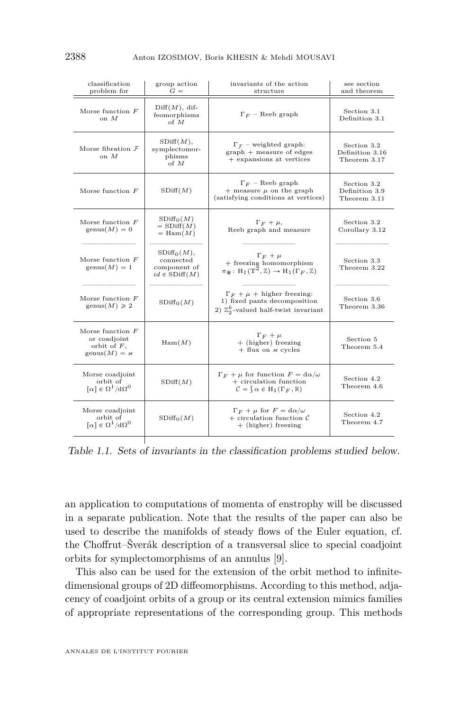| classification<br>problem for                                                         | group action<br>$G =$                                            | invariants of the action<br>structure                                                                                                            | see section<br>and theorem                     |
|---------------------------------------------------------------------------------------|------------------------------------------------------------------|--------------------------------------------------------------------------------------------------------------------------------------------------|------------------------------------------------|
| Morse function $F$<br>on $M$                                                          | $Diff(M), dif-$<br>feomorphisms<br>of $M$                        | $\Gamma_F$ – Reeb graph                                                                                                                          | Section 3.1<br>Definition 3.1                  |
| Morse fibration $\mathcal F$<br>on $M$                                                | $SDiff(M)$ ,<br>symplectomor-<br>phisms<br>of M                  | $\Gamma_{\mathcal{F}}$ – weighted graph:<br>$graph + measure of edges$<br>+ expansions at vertices                                               | Section 3.2<br>Definition 3.16<br>Theorem 3.17 |
| Morse function $F$                                                                    | SDiff(M)                                                         | $\Gamma_F$ – Reeb graph<br>+ measure $\mu$ on the graph<br>(satisfying conditions at vertices)                                                   | Section 3.2<br>Definition 3.9<br>Theorem 3.11  |
| Morse function $F$<br>$\text{genus}(M) = 0$                                           | SDiff <sub>0</sub> (M)<br>$=$ SDiff $(M)$<br>$=$ Ham $(M)$       | $\Gamma_F + \mu$ ,<br>Reeb graph and measure                                                                                                     | Section 3.2<br>Corollary 3.12                  |
| Morse function $F$<br>$\text{genus}(M) = 1$                                           | $SDiff_0(M)$ ,<br>connected<br>component of<br>$id \in SDiff(M)$ | $\Gamma_F + \mu$<br>+ freezing homomorphism<br>$\pi_{\mathbf{\ast}} : H_1(T^2, \mathbb{Z}) \to H_1(\Gamma_F, \mathbb{Z})$                        | Section 3.3<br>Theorem 3.22                    |
| Morse function $F$<br>$\text{genus}(M) \geqslant 2$                                   | $SDiff_0(M)$                                                     | $\Gamma_F + \mu$ + higher freezing:<br>1) fixed pants decomposition<br>2) $\mathbb{Z}_2^k$ -valued half-twist invariant                          | Section 3.6<br>Theorem 3.36                    |
| Morse function $F$<br>or coadjoint<br>orbit of $F$ ,<br>$\text{genus}(M) = \varkappa$ | Ham(M)                                                           | $\Gamma_F + \mu$<br>+ (higher) freezing<br>$+$ flux on $\varkappa$ cycles                                                                        | Section 5<br>Theorem 5.4                       |
| Morse coadjoint<br>orbit of<br>$\lceil \alpha \rceil \in \Omega^1 / d \Omega^0$       | SDiff(M)                                                         | $\Gamma_F + \mu$ for function $F = d\alpha/\omega$<br>$+$ circulation function<br>$\mathcal{C} = \n\{\n\alpha \in H_1(\Gamma_F, \mathbb{R})\n\}$ | Section 4.2<br>Theorem 4.6                     |
| Morse coadjoint<br>orbit of<br>$\lceil \alpha \rceil \in \Omega^1 / d \Omega^0$       | SDiff <sub>0</sub> (M)                                           | $\Gamma_F + \mu$ for $F = d\alpha/\omega$<br>+ circulation function $\mathcal C$<br>+ (higher) freezing                                          | Section 4.2<br>Theorem 4.7                     |

<span id="page-4-0"></span>Table 1.1. Sets of invariants in the classification problems studied below.

an application to computations of momenta of enstrophy will be discussed in a separate publication. Note that the results of the paper can also be used to describe the manifolds of steady flows of the Euler equation, cf. the Choffrut–Šverák description of a transversal slice to special coadjoint orbits for symplectomorphisms of an annulus [\[9\]](#page-48-4).

This also can be used for the extension of the orbit method to infinitedimensional groups of 2D diffeomorphisms. According to this method, adjacency of coadjoint orbits of a group or its central extension mimics families of appropriate representations of the corresponding group. This methods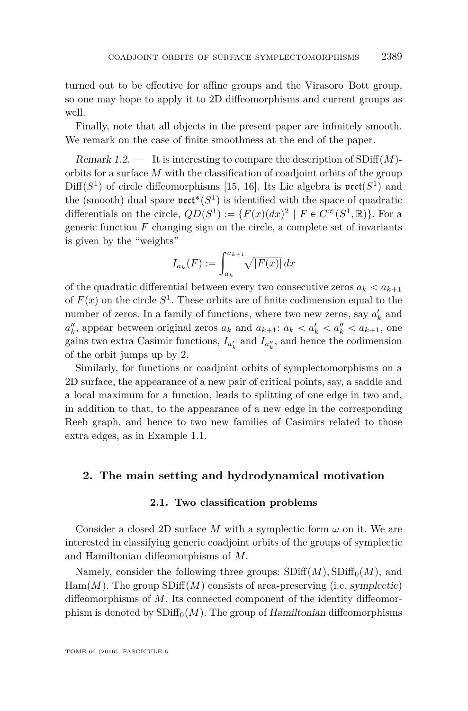turned out to be effective for affine groups and the Virasoro–Bott group, so one may hope to apply it to 2D diffeomorphisms and current groups as well.

Finally, note that all objects in the present paper are infinitely smooth. We remark on the case of finite smoothness at the end of the paper.

Remark 1.2. — It is interesting to compare the description of  $SDiff(M)$ orbits for a surface *M* with the classification of coadjoint orbits of the group  $Diff(S<sup>1</sup>)$  of circle diffeomorphisms [\[15,](#page-48-5) [16\]](#page-48-1). Its Lie algebra is  $\mathfrak{vect}(S<sup>1</sup>)$  and the (smooth) dual space  $\text{vect}^*(S^1)$  is identified with the space of quadratic differentials on the circle,  $QD(S^1) := \{F(x)(dx)^2 \mid F \in C^\infty(S^1, \mathbb{R})\}$ . For a generic function *F* changing sign on the circle, a complete set of invariants is given by the "weights"

$$
I_{a_k}(F) := \int_{a_k}^{a_{k+1}} \sqrt{|F(x)|} \, dx
$$

of the quadratic differential between every two consecutive zeros  $a_k < a_{k+1}$ of  $F(x)$  on the circle  $S^1$ . These orbits are of finite codimension equal to the number of zeros. In a family of functions, where two new zeros, say  $a'_k$  and  $a''_k$ , appear between original zeros  $a_k$  and  $a_{k+1}$ :  $a_k < a'_k < a''_k < a_{k+1}$ , one gains two extra Casimir functions,  $I_{a'_k}$  and  $I_{a''_k}$ , and hence the codimension of the orbit jumps up by 2.

Similarly, for functions or coadjoint orbits of symplectomorphisms on a 2D surface, the appearance of a new pair of critical points, say, a saddle and a local maximum for a function, leads to splitting of one edge in two and, in addition to that, to the appearance of a new edge in the corresponding Reeb graph, and hence to two new families of Casimirs related to those extra edges, as in Example [1.1.](#page-2-0)

#### **2. The main setting and hydrodynamical motivation**

#### **2.1. Two classification problems**

Consider a closed 2D surface M with a symplectic form  $\omega$  on it. We are interested in classifying generic coadjoint orbits of the groups of symplectic and Hamiltonian diffeomorphisms of *M*.

Namely, consider the following three groups:  $SDiff(M), SDiff<sub>0</sub>(M)$ , and  $Ham(M)$ . The group  $SDiff(M)$  consists of area-preserving (i.e. symplectic) diffeomorphisms of *M*. Its connected component of the identity diffeomorphism is denoted by  $SDiff_0(M)$ . The group of Hamiltonian diffeomorphisms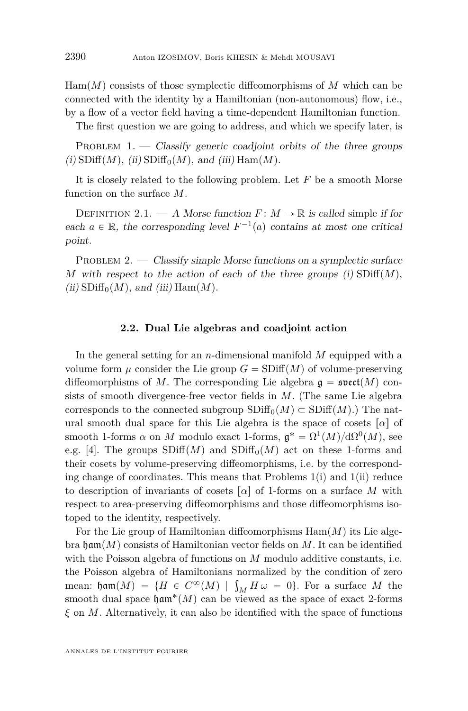$\text{Ham}(M)$  consists of those symplectic diffeomorphisms of M which can be connected with the identity by a Hamiltonian (non-autonomous) flow, i.e., by a flow of a vector field having a time-dependent Hamiltonian function.

The first question we are going to address, and which we specify later, is

<span id="page-6-0"></span>PROBLEM  $1.$  — Classify generic coadjoint orbits of the three groups  $(i)$  SDiff $(M)$ *, (ii)* SDiff<sub>0</sub> $(M)$ *, and (iii)* Ham $(M)$ *.* 

It is closely related to the following problem. Let *F* be a smooth Morse function on the surface *M*.

DEFINITION 2.1. — A Morse function  $F: M \to \mathbb{R}$  is called simple if for each  $a \in \mathbb{R}$ , the corresponding level  $F^{-1}(a)$  contains at most one critical point.

<span id="page-6-1"></span>PROBLEM 2.  $\sim$  Classify simple Morse functions on a symplectic surface *M* with respect to the action of each of the three groups (i)  $SDiff(M)$ ,  $(iii)$  SDiff<sub>0</sub> $(M)$ *, and (iii)* Ham $(M)$ *.* 

#### **2.2. Dual Lie algebras and coadjoint action**

In the general setting for an *n*-dimensional manifold *M* equipped with a volume form  $\mu$  consider the Lie group  $G = SDiff(M)$  of volume-preserving diffeomorphisms of M. The corresponding Lie algebra  $\mathfrak{g} = \mathfrak{svect}(M)$  consists of smooth divergence-free vector fields in *M*. (The same Lie algebra corresponds to the connected subgroup  $SDiff_0(M) \subset SDiff(M)$ .) The natural smooth dual space for this Lie algebra is the space of cosets  $\lceil \alpha \rceil$  of smooth 1-forms  $\alpha$  on *M* modulo exact 1-forms,  $\mathfrak{g}^* = \Omega^1(M)/d\Omega^0(M)$ , see e.g. [\[4\]](#page-48-0). The groups  $SDiff(M)$  and  $SDiff<sub>0</sub>(M)$  act on these 1-forms and their cosets by volume-preserving diffeomorphisms, i.e. by the corresponding change of coordinates. This means that Problems  $1(i)$  $1(i)$  and  $1(ii)$  reduce to description of invariants of cosets  $\lceil \alpha \rceil$  of 1-forms on a surface *M* with respect to area-preserving diffeomorphisms and those diffeomorphisms isotoped to the identity, respectively.

For the Lie group of Hamiltonian diffeomorphisms  $\text{Ham}(M)$  its Lie algebra ham $(M)$  consists of Hamiltonian vector fields on  $M$ . It can be identified with the Poisson algebra of functions on *M* modulo additive constants, i.e. the Poisson algebra of Hamiltonians normalized by the condition of zero the Poisson algebra of Hamiltonians normalized by the condition of zero<br>mean:  $\lim_{M} (M) = {H \in C^{\infty}(M) \mid \int_{M} H \omega = 0}.$  For a surface M the smooth dual space  $\mathfrak{ham}^*(M)$  can be viewed as the space of exact 2-forms *ξ* on *M*. Alternatively, it can also be identified with the space of functions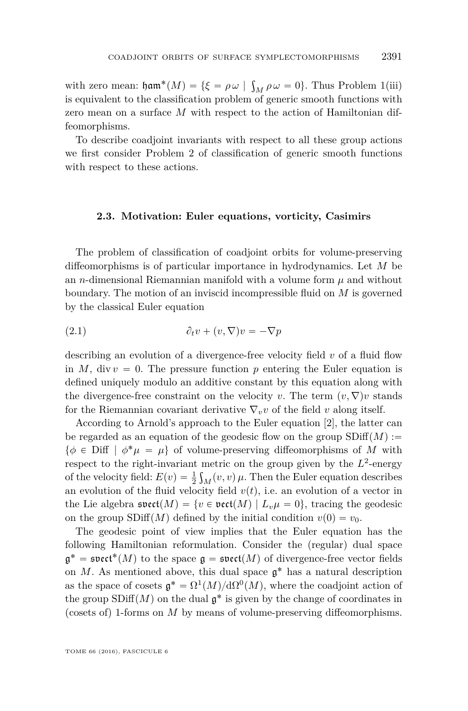with zero mean:  $\mathfrak{ham}^*(M) = \{ \xi = \rho \omega \mid$ ş  $_M \rho \omega = 0$ . Thus Problem 1(iii) is equivalent to the classification problem of generic smooth functions with zero mean on a surface *M* with respect to the action of Hamiltonian diffeomorphisms.

To describe coadjoint invariants with respect to all these group actions we first consider Problem [2](#page-6-1) of classification of generic smooth functions with respect to these actions.

#### <span id="page-7-0"></span>**2.3. Motivation: Euler equations, vorticity, Casimirs**

The problem of classification of coadjoint orbits for volume-preserving diffeomorphisms is of particular importance in hydrodynamics. Let *M* be an *n*-dimensional Riemannian manifold with a volume form  $\mu$  and without boundary. The motion of an inviscid incompressible fluid on *M* is governed by the classical Euler equation

<span id="page-7-1"></span>(2.1) 
$$
\partial_t v + (v, \nabla)v = -\nabla p
$$

describing an evolution of a divergence-free velocity field *v* of a fluid flow in *M*, div  $v = 0$ . The pressure function p entering the Euler equation is defined uniquely modulo an additive constant by this equation along with the divergence-free constraint on the velocity *v*. The term  $(v, \nabla)v$  stands for the Riemannian covariant derivative  $\nabla_{\nu} v$  of the field v along itself.

According to Arnold's approach to the Euler equation [\[2\]](#page-48-6), the latter can be regarded as an equation of the geodesic flow on the group  $SDiff(M) :=$  $\{\phi \in \text{Diff} \mid \phi^* \mu = \mu\}$  of volume-preserving diffeomorphisms of *M* with respect to the right-invariant metric on the group given by the  $L^2$ -energy of the velocity field:  $E(v) = \frac{1}{2} \int_M (v, v) \mu$ . Then the Euler equation describes an evolution of the fluid velocity field  $v(t)$ , i.e. an evolution of a vector in the Lie algebra  $\mathfrak{svect}(M) = \{v \in \mathfrak{vect}(M) \mid L_v\mu = 0\}$ , tracing the geodesic on the group  $SDiff(M)$  defined by the initial condition  $v(0) = v_0$ .

The geodesic point of view implies that the Euler equation has the following Hamiltonian reformulation. Consider the (regular) dual space  $\mathfrak{g}^* = \mathfrak{svect}^*(M)$  to the space  $\mathfrak{g} = \mathfrak{svect}(M)$  of divergence-free vector fields on  $M$ . As mentioned above, this dual space  $\mathfrak{g}^*$  has a natural description as the space of cosets  $\mathfrak{g}^* = \Omega^1(M)/d\Omega^0(M)$ , where the coadjoint action of the group  $SDiff(M)$  on the dual  $\mathfrak{g}^*$  is given by the change of coordinates in (cosets of) 1-forms on *M* by means of volume-preserving diffeomorphisms.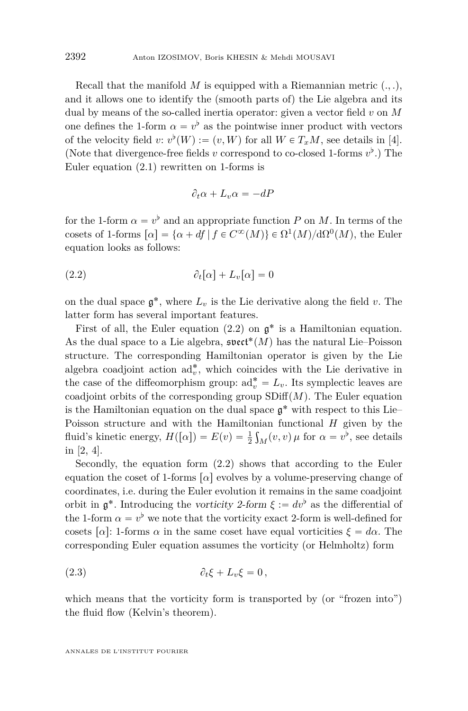Recall that the manifold  $M$  is equipped with a Riemannian metric  $(., .),$ and it allows one to identify the (smooth parts of) the Lie algebra and its dual by means of the so-called inertia operator: given a vector field *v* on *M* one defines the 1-form  $\alpha = v^{\flat}$  as the pointwise inner product with vectors of the velocity field  $v: v^{\flat}(W) := (v, W)$  for all  $W \in T_xM$ , see details in [\[4\]](#page-48-0). (Note that divergence-free fields *v* correspond to co-closed 1-forms  $v^{\flat}$ .) The Euler equation [\(2.1\)](#page-7-1) rewritten on 1-forms is

<span id="page-8-0"></span>
$$
\partial_t \alpha + L_v \alpha = -dP
$$

for the 1-form  $\alpha = v^{\flat}$  and an appropriate function *P* on *M*. In terms of the cosets of 1-forms  $\lbrack \alpha \rbrack = \{ \alpha + df \mid f \in C^{\infty}(M) \} \in \Omega^{1}(M)/d\Omega^{0}(M)$ , the Euler equation looks as follows:

$$
(2.2) \t\t\t \partial_t[\alpha] + L_v[\alpha] = 0
$$

on the dual space  $\mathfrak{g}^*$ , where  $L_v$  is the Lie derivative along the field  $v$ . The latter form has several important features.

First of all, the Euler equation  $(2.2)$  on  $\mathfrak{g}^*$  is a Hamiltonian equation. As the dual space to a Lie algebra,  $\mathfrak{s}\mathfrak{vect}^*(M)$  has the natural Lie–Poisson structure. The corresponding Hamiltonian operator is given by the Lie algebra coadjoint action  $ad_v^*$ , which coincides with the Lie derivative in the case of the diffeomorphism group:  $ad_v^* = L_v$ . Its symplectic leaves are coadjoint orbits of the corresponding group  $SDiff(M)$ . The Euler equation is the Hamiltonian equation on the dual space  $\mathfrak{g}^*$  with respect to this Lie– Poisson structure and with the Hamiltonian functional *H* given by the fluid's kinetic energy,  $H([\alpha]) = E(v) = \frac{1}{2} \int_M (v, v) \mu$  for  $\alpha = v^{\flat}$ , see details in [\[2,](#page-48-6) [4\]](#page-48-0).

Secondly, the equation form [\(2.2\)](#page-8-0) shows that according to the Euler equation the coset of 1-forms  $\lceil \alpha \rceil$  evolves by a volume-preserving change of coordinates, i.e. during the Euler evolution it remains in the same coadjoint orbit in  $\mathfrak{g}^*$ . Introducing the vorticity 2-form  $\xi := dv^{\flat}$  as the differential of the 1-form  $\alpha = v^{\flat}$  we note that the vorticity exact 2-form is well-defined for cosets  $\lceil \alpha \rceil$ : 1-forms  $\alpha$  in the same coset have equal vorticities  $\xi = d\alpha$ . The corresponding Euler equation assumes the vorticity (or Helmholtz) form

$$
(2.3) \t\t\t \partial_t \xi + L_v \xi = 0,
$$

which means that the vorticity form is transported by (or "frozen into") the fluid flow (Kelvin's theorem).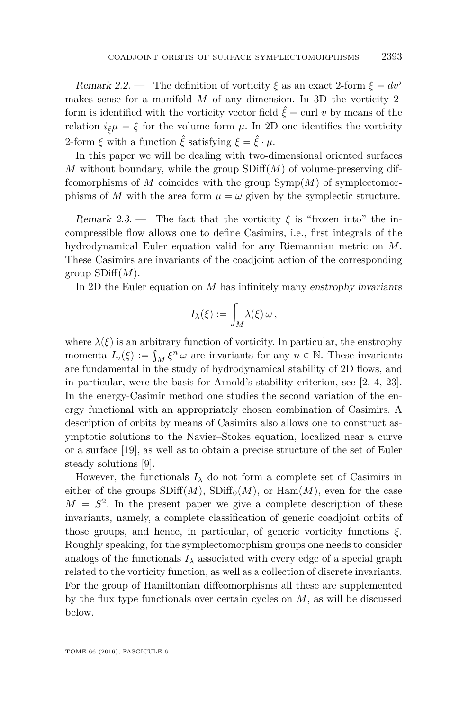Remark 2.2. — The definition of vorticity  $\xi$  as an exact 2-form  $\xi = dv^{\flat}$ makes sense for a manifold *M* of any dimension. In 3D the vorticity 2 form is identified with the vorticity vector field  $\hat{\xi} = \text{curl } v$  by means of the relation  $i_{\hat{\xi}}\mu = \xi$  for the volume form  $\mu$ . In 2D one identifies the vorticity 2-form  $\xi$  with a function  $\hat{\xi}$  satisfying  $\xi = \hat{\xi} \cdot \mu$ .

In this paper we will be dealing with two-dimensional oriented surfaces *M* without boundary, while the group  $SDiff(M)$  of volume-preserving diffeomorphisms of *M* coincides with the group  $\text{Symp}(M)$  of symplectomorphisms of *M* with the area form  $\mu = \omega$  given by the symplectic structure.

Remark 2.3. — The fact that the vorticity  $\xi$  is "frozen into" the incompressible flow allows one to define Casimirs, i.e., first integrals of the hydrodynamical Euler equation valid for any Riemannian metric on *M*. These Casimirs are invariants of the coadjoint action of the corresponding  $\text{group }SDiff(M)$ .

In 2D the Euler equation on *M* has infinitely many enstrophy invariants

$$
I_{\lambda}(\xi) := \int_M \lambda(\xi) \, \omega \, ,
$$

where  $\lambda(\xi)$  is an arbitrary function of vorticity. In particular, the enstrophy momenta  $I_n(\xi) := \int_M \xi^n \omega$  are invariants for any  $n \in \mathbb{N}$ . These invariants are fundamental in the study of hydrodynamical stability of 2D flows, and in particular, were the basis for Arnold's stability criterion, see [\[2,](#page-48-6) [4,](#page-48-0) [23\]](#page-49-1). In the energy-Casimir method one studies the second variation of the energy functional with an appropriately chosen combination of Casimirs. A description of orbits by means of Casimirs also allows one to construct asymptotic solutions to the Navier–Stokes equation, localized near a curve or a surface [\[19\]](#page-48-7), as well as to obtain a precise structure of the set of Euler steady solutions [\[9\]](#page-48-4).

However, the functionals  $I_{\lambda}$  do not form a complete set of Casimirs in either of the groups  $SDiff(M)$ ,  $SDiff_0(M)$ , or  $Ham(M)$ , even for the case  $M = S<sup>2</sup>$ . In the present paper we give a complete description of these invariants, namely, a complete classification of generic coadjoint orbits of those groups, and hence, in particular, of generic vorticity functions *ξ*. Roughly speaking, for the symplectomorphism groups one needs to consider analogs of the functionals  $I_\lambda$  associated with every edge of a special graph related to the vorticity function, as well as a collection of discrete invariants. For the group of Hamiltonian diffeomorphisms all these are supplemented by the flux type functionals over certain cycles on *M*, as will be discussed below.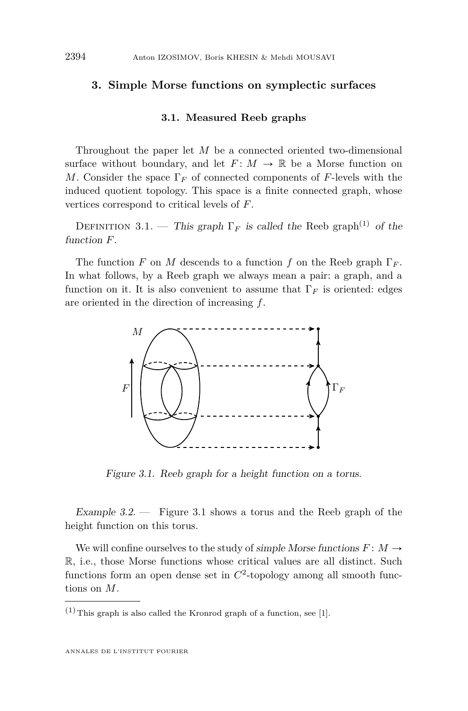#### <span id="page-10-3"></span>**3. Simple Morse functions on symplectic surfaces**

#### **3.1. Measured Reeb graphs**

<span id="page-10-0"></span>Throughout the paper let *M* be a connected oriented two-dimensional surface without boundary, and let  $F: M \to \mathbb{R}$  be a Morse function on *M*. Consider the space  $\Gamma_F$  of connected components of *F*-levels with the induced quotient topology. This space is a finite connected graph, whose vertices correspond to critical levels of *F*.

<span id="page-10-1"></span>DEFINITION 3.1. — This graph  $\Gamma_F$  is called the Reeb graph<sup>(1)</sup> of the function *F*.

The function *F* on *M* descends to a function *f* on the Reeb graph  $\Gamma_F$ . In what follows, by a Reeb graph we always mean a pair: a graph, and a function on it. It is also convenient to assume that  $\Gamma_F$  is oriented: edges are oriented in the direction of increasing *f*.



<span id="page-10-2"></span>Figure 3.1. Reeb graph for a height function on a torus.

Example 3.2. — Figure [3.1](#page-10-2) shows a torus and the Reeb graph of the height function on this torus.

We will confine ourselves to the study of simple Morse functions  $F: M \to$ R, i.e., those Morse functions whose critical values are all distinct. Such functions form an open dense set in  $C<sup>2</sup>$ -topology among all smooth functions on *M*.

 $(1)$  This graph is also called the Kronrod graph of a function, see [\[1\]](#page-47-0).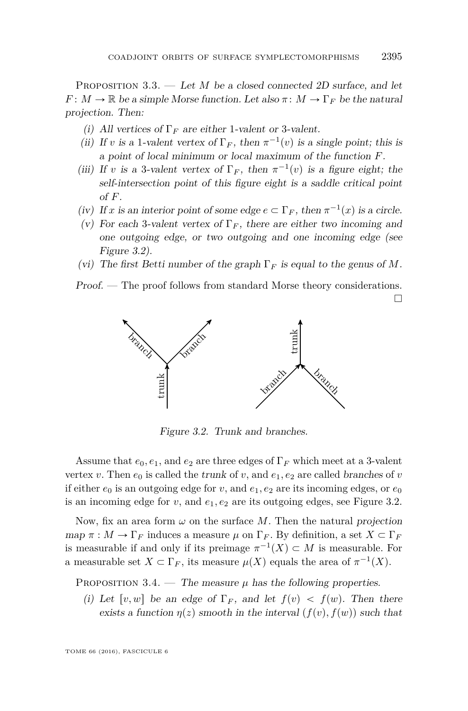PROPOSITION 3.3. — Let *M* be a closed connected 2D surface, and let *F* :  $M \to \mathbb{R}$  be a simple Morse function. Let also  $\pi \colon M \to \Gamma_F$  be the natural projection. Then:

- (i) All vertices of  $\Gamma_F$  are either 1-valent or 3-valent.
- (ii) If *v* is a 1-valent vertex of  $\Gamma_F$ , then  $\pi^{-1}(v)$  is a single point; this is a point of local minimum or local maximum of the function *F*.
- (iii) If *v* is a 3-valent vertex of  $\Gamma_F$ , then  $\pi^{-1}(v)$  is a figure eight; the self-intersection point of this figure eight is a saddle critical point of *F*.
- (iv) If *x* is an interior point of some edge  $e \subset \Gamma_F$ , then  $\pi^{-1}(x)$  is a circle.
- (v) For each 3-valent vertex of  $\Gamma_F$ , there are either two incoming and one outgoing edge, or two outgoing and one incoming edge (see Figure [3.2\)](#page-11-0).
- (vi) The first Betti number of the graph  $\Gamma_F$  is equal to the genus of M.

Proof. — The proof follows from standard Morse theory considerations.

 $\Box$ 



<span id="page-11-0"></span>Figure 3.2. Trunk and branches.

Assume that  $e_0, e_1$ , and  $e_2$  are three edges of  $\Gamma_F$  which meet at a 3-valent vertex *v*. Then  $e_0$  is called the trunk of *v*, and  $e_1, e_2$  are called branches of *v* if either  $e_0$  is an outgoing edge for *v*, and  $e_1, e_2$  are its incoming edges, or  $e_0$ is an incoming edge for  $v$ , and  $e_1, e_2$  are its outgoing edges, see Figure [3.2.](#page-11-0)

Now, fix an area form  $\omega$  on the surface M. Then the natural projection  $map \pi : M \to \Gamma_F$  induces a measure  $\mu$  on  $\Gamma_F$ . By definition, a set  $X \subset \Gamma_F$ is measurable if and only if its preimage  $\pi^{-1}(X) \subset M$  is measurable. For a measurable set  $X \subset \Gamma_F$ , its measure  $\mu(X)$  equals the area of  $\pi^{-1}(X)$ .

<span id="page-11-1"></span>PROPOSITION 3.4. — The measure  $\mu$  has the following properties.

(i) Let  $[v, w]$  be an edge of  $\Gamma_F$ , and let  $f(v) < f(w)$ . Then there exists a function  $\eta(z)$  smooth in the interval  $(f(v), f(w))$  such that

TOME 66 (2016), FASCICULE 6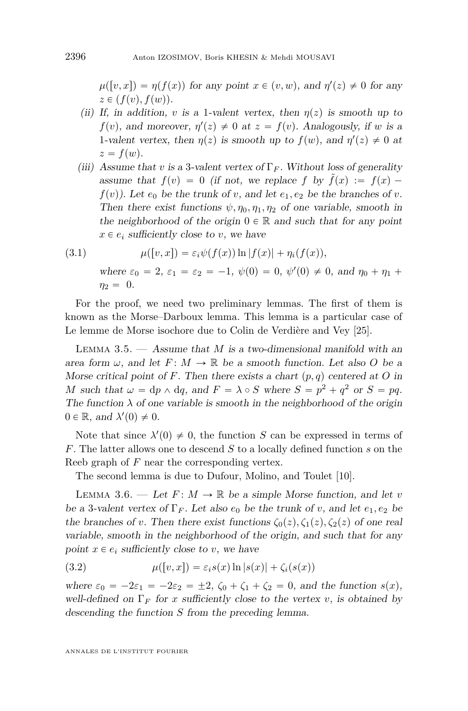$\mu([v, x]) = \eta(f(x))$  for any point  $x \in (v, w)$ , and  $\eta'(z) \neq 0$  for any  $z \in (f(v), f(w)).$ 

- (ii) If, in addition, *v* is a 1-valent vertex, then  $n(z)$  is smooth up to  $f(v)$ , and moreover,  $\eta'(z) \neq 0$  at  $z = f(v)$ . Analogously, if *w* is a 1-valent vertex, then  $\eta(z)$  is smooth up to  $f(w)$ , and  $\eta'(z) \neq 0$  at  $z = f(w)$ .
- (iii) Assume that *v* is a 3-valent vertex of  $\Gamma_F$ . Without loss of generality assume that  $f(v) = 0$  (if not, we replace f by  $\tilde{f}(x) := f(x)$  $f(v)$ ). Let  $e_0$  be the trunk of *v*, and let  $e_1, e_2$  be the branches of *v*. Then there exist functions  $\psi$ ,  $\eta_0$ ,  $\eta_1$ ,  $\eta_2$  of one variable, smooth in the neighborhood of the origin  $0 \in \mathbb{R}$  and such that for any point  $x \in e_i$  sufficiently close to *v*, we have

<span id="page-12-2"></span>(3.1) 
$$
\mu([v, x]) = \varepsilon_i \psi(f(x)) \ln |f(x)| + \eta_i(f(x)),
$$
  
where  $\varepsilon_0 = 2$ ,  $\varepsilon_1 = \varepsilon_2 = -1$ ,  $\psi(0) = 0$ ,  $\psi'(0) \neq 0$ , and  $\eta_0 + \eta_1 + \eta_2 = 0$ .

For the proof, we need two preliminary lemmas. The first of them is known as the Morse–Darboux lemma. This lemma is a particular case of Le lemme de Morse isochore due to Colin de Verdière and Vey [\[25\]](#page-49-2).

<span id="page-12-0"></span>Lemma 3.5. — Assume that *M* is a two-dimensional manifold with an area form  $\omega$ , and let  $F: M \to \mathbb{R}$  be a smooth function. Let also O be a Morse critical point of F. Then there exists a chart  $(p, q)$  centered at O in *M* such that  $\omega = dp \wedge dq$ , and  $F = \lambda \circ S$  where  $S = p^2 + q^2$  or  $S = pq$ . The function  $\lambda$  of one variable is smooth in the neighborhood of the origin  $0 \in \mathbb{R}$ , and  $\lambda'(0) \neq 0$ .

Note that since  $\lambda'(0) \neq 0$ , the function *S* can be expressed in terms of *F*. The latter allows one to descend *S* to a locally defined function *s* on the Reeb graph of *F* near the corresponding vertex.

The second lemma is due to Dufour, Molino, and Toulet [\[10\]](#page-48-8).

LEMMA 3.6. — Let  $F: M \to \mathbb{R}$  be a simple Morse function, and let *v* be a 3-valent vertex of  $\Gamma_F$ . Let also  $e_0$  be the trunk of *v*, and let  $e_1, e_2$  be the branches of *v*. Then there exist functions  $\zeta_0(z), \zeta_1(z), \zeta_2(z)$  of one real variable, smooth in the neighborhood of the origin, and such that for any point  $x \in e_i$  sufficiently close to *v*, we have

<span id="page-12-1"></span>(3.2) 
$$
\mu([v,x]) = \varepsilon_i s(x) \ln |s(x)| + \zeta_i(s(x))
$$

where  $\varepsilon_0 = -2\varepsilon_1 = -2\varepsilon_2 = \pm 2$ ,  $\zeta_0 + \zeta_1 + \zeta_2 = 0$ , and the function  $s(x)$ , well-defined on  $\Gamma_F$  for *x* sufficiently close to the vertex *v*, is obtained by descending the function *S* from the preceding lemma.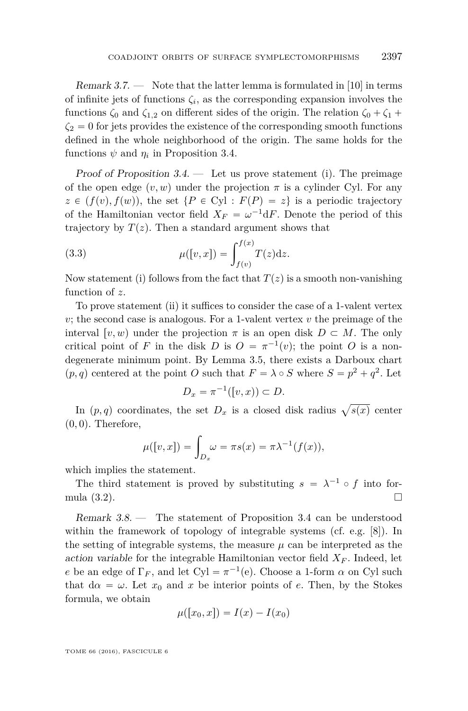Remark  $3.7.$  — Note that the latter lemma is formulated in [\[10\]](#page-48-8) in terms of infinite jets of functions  $\zeta_i$ , as the corresponding expansion involves the functions  $\zeta_0$  and  $\zeta_{1,2}$  on different sides of the origin. The relation  $\zeta_0 + \zeta_1 + \zeta_2$  $\zeta_2 = 0$  for jets provides the existence of the corresponding smooth functions defined in the whole neighborhood of the origin. The same holds for the functions  $\psi$  and  $\eta_i$  in Proposition [3.4.](#page-11-1)

Proof of Proposition  $3.4$ . — Let us prove statement (i). The preimage of the open edge  $(v, w)$  under the projection  $\pi$  is a cylinder Cyl. For any  $z \in (f(v), f(w))$ , the set  $\{P \in Cyl : F(P) = z\}$  is a periodic trajectory of the Hamiltonian vector field  $X_F = \omega^{-1} dF$ . Denote the period of this trajectory by  $T(z)$ . Then a standard argument shows that

<span id="page-13-0"></span>(3.3) 
$$
\mu([v, x]) = \int_{f(v)}^{f(x)} T(z) dz.
$$

Now statement (i) follows from the fact that  $T(z)$  is a smooth non-vanishing function of *z*.

To prove statement (ii) it suffices to consider the case of a 1-valent vertex *v*; the second case is analogous. For a 1-valent vertex *v* the preimage of the interval  $[v, w]$  under the projection  $\pi$  is an open disk  $D \subset M$ . The only critical point of *F* in the disk *D* is  $O = \pi^{-1}(v)$ ; the point *O* is a nondegenerate minimum point. By Lemma [3.5,](#page-12-0) there exists a Darboux chart  $(p, q)$  centered at the point *O* such that  $F = \lambda \circ S$  where  $S = p^2 + q^2$ . Let

$$
D_x = \pi^{-1}([v, x)) \subset D.
$$

In  $(p, q)$  coordinates, the set  $D_x$  is a closed disk radius  $\sqrt{s(x)}$  center  $(0,0)$ . Therefore,

$$
\mu([v,x]) = \int_{D_x} \omega = \pi s(x) = \pi \lambda^{-1}(f(x)),
$$

which implies the statement.

The third statement is proved by substituting  $s = \lambda^{-1} \circ f$  into formula  $(3.2)$ .

Remark 3.8. — The statement of Proposition [3.4](#page-11-1) can be understood within the framework of topology of integrable systems (cf. e.g. [\[8\]](#page-48-9)). In the setting of integrable systems, the measure  $\mu$  can be interpreted as the action variable for the integrable Hamiltonian vector field  $X_F$ . Indeed, let *e* be an edge of  $\Gamma_F$ , and let Cyl =  $\pi^{-1}(e)$ . Choose a 1-form *α* on Cyl such that  $d\alpha = \omega$ . Let  $x_0$  and  $x$  be interior points of *e*. Then, by the Stokes formula, we obtain

$$
\mu([x_0, x]) = I(x) - I(x_0)
$$

TOME 66 (2016), FASCICULE 6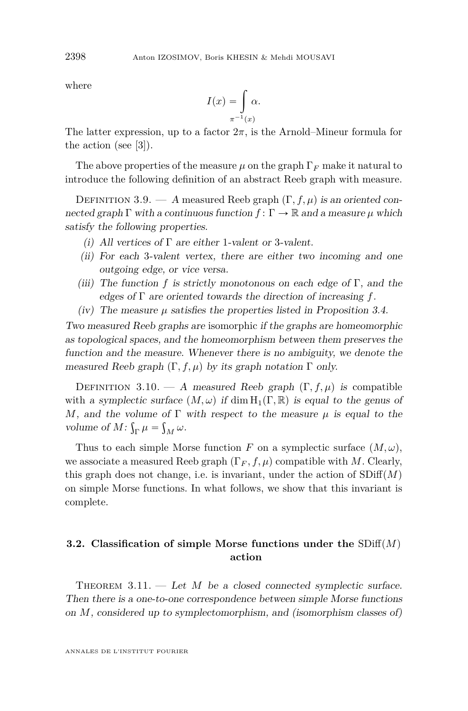where

$$
I(x) = \int_{\pi^{-1}(x)} \alpha.
$$

The latter expression, up to a factor  $2\pi$ , is the Arnold–Mineur formula for the action (see [\[3\]](#page-48-10)).

The above properties of the measure  $\mu$  on the graph  $\Gamma_F$  make it natural to introduce the following definition of an abstract Reeb graph with measure.

<span id="page-14-1"></span>DEFINITION 3.9. — A measured Reeb graph  $(\Gamma, f, \mu)$  is an oriented connected graph  $\Gamma$  with a continuous function  $f: \Gamma \to \mathbb{R}$  and a measure  $\mu$  which satisfy the following properties.

- (i) All vertices of  $\Gamma$  are either 1-valent or 3-valent.
- (ii) For each 3-valent vertex, there are either two incoming and one outgoing edge, or vice versa.
- (iii) The function f is strictly monotonous on each edge of  $\Gamma$ , and the edges of Γ are oriented towards the direction of increasing *f*.
- (iv) The measure  $\mu$  satisfies the properties listed in Proposition [3.4.](#page-11-1)

Two measured Reeb graphs are isomorphic if the graphs are homeomorphic as topological spaces, and the homeomorphism between them preserves the function and the measure. Whenever there is no ambiguity, we denote the measured Reeb graph  $(\Gamma, f, \mu)$  by its graph notation  $\Gamma$  only.

<span id="page-14-3"></span>DEFINITION 3.10. — A measured Reeb graph  $(\Gamma, f, \mu)$  is compatible with a symplectic surface  $(M, \omega)$  if dim  $H_1(\Gamma, \mathbb{R})$  is equal to the genus of *M*, and the volume of  $\Gamma$  with respect to the measure  $\mu$  is equal to the volume of  $M: \int_{\Gamma} \mu = \int_{M} \omega$ .

Thus to each simple Morse function *F* on a symplectic surface  $(M, \omega)$ , we associate a measured Reeb graph  $(\Gamma_F, f, \mu)$  compatible with *M*. Clearly, this graph does not change, i.e. is invariant, under the action of  $SDiff(M)$ on simple Morse functions. In what follows, we show that this invariant is complete.

#### <span id="page-14-0"></span>**3.2.** Classification of simple Morse functions under the  $SDiff(M)$ **action**

<span id="page-14-2"></span>THEOREM  $3.11.$  — Let *M* be a closed connected symplectic surface. Then there is a one-to-one correspondence between simple Morse functions on *M*, considered up to symplectomorphism, and (isomorphism classes of)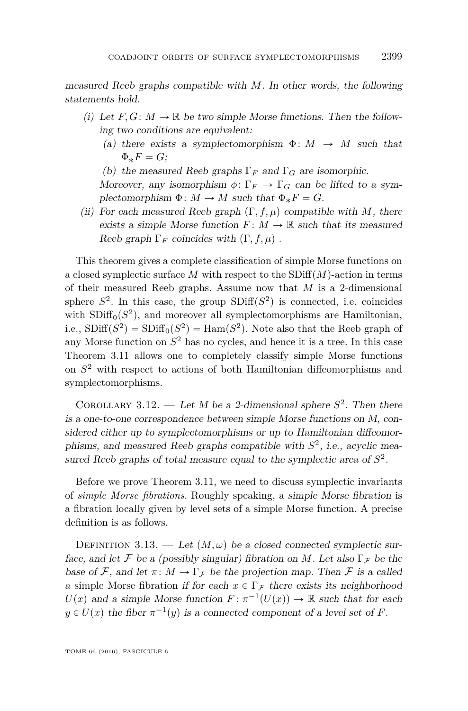measured Reeb graphs compatible with *M*. In other words, the following statements hold.

- (i) Let  $F, G: M \to \mathbb{R}$  be two simple Morse functions. Then the following two conditions are equivalent:
	- (a) there exists a symplectomorphism  $\Phi: M \to M$  such that  $\Phi_* F = G$ ;
	- (b) the measured Reeb graphs  $\Gamma_F$  and  $\Gamma_G$  are isomorphic.

Moreover, any isomorphism  $\phi \colon \Gamma_F \to \Gamma_G$  can be lifted to a symplectomorphism  $\Phi: M \to M$  such that  $\Phi_* F = G$ .

(ii) For each measured Reeb graph  $(\Gamma, f, \mu)$  compatible with *M*, there exists a simple Morse function  $F: M \to \mathbb{R}$  such that its measured Reeb graph  $\Gamma_F$  coincides with  $(\Gamma, f, \mu)$ .

This theorem gives a complete classification of simple Morse functions on a closed symplectic surface  $M$  with respect to the  $SDiff(M)$ -action in terms of their measured Reeb graphs. Assume now that *M* is a 2-dimensional sphere  $S^2$ . In this case, the group  $SDiff(S^2)$  is connected, i.e. coincides with  $SDiff<sub>0</sub>(S<sup>2</sup>)$ , and moreover all symplectomorphisms are Hamiltonian, i.e.,  $SDiff(S^2) = SDiff_0(S^2) = Ham(S^2)$ . Note also that the Reeb graph of any Morse function on *S* <sup>2</sup> has no cycles, and hence it is a tree. In this case Theorem [3.11](#page-14-2) allows one to completely classify simple Morse functions on *S* <sup>2</sup> with respect to actions of both Hamiltonian diffeomorphisms and symplectomorphisms.

<span id="page-15-0"></span>COROLLARY 3.12. — Let M be a 2-dimensional sphere  $S^2$ . Then there is a one-to-one correspondence between simple Morse functions on M, considered either up to symplectomorphisms or up to Hamiltonian diffeomorphisms, and measured Reeb graphs compatible with  $S^2$ , i.e., acyclic measured Reeb graphs of total measure equal to the symplectic area of *S* 2 .

Before we prove Theorem [3.11,](#page-14-2) we need to discuss symplectic invariants of *simple Morse fibrations*. Roughly speaking, a simple Morse fibration is a fibration locally given by level sets of a simple Morse function. A precise definition is as follows.

DEFINITION 3.13. — Let  $(M, \omega)$  be a closed connected symplectic surface, and let F be a (possibly singular) fibration on M. Let also  $\Gamma_{\mathcal{F}}$  be the base of F, and let  $\pi: M \to \Gamma_F$  be the projection map. Then F is a called a simple Morse fibration if for each  $x \in \Gamma_{\mathcal{F}}$  there exists its neighborhood  $U(x)$  and a simple Morse function  $F: \pi^{-1}(U(x)) \to \mathbb{R}$  such that for each  $y \in U(x)$  the fiber  $\pi^{-1}(y)$  is a connected component of a level set of *F*.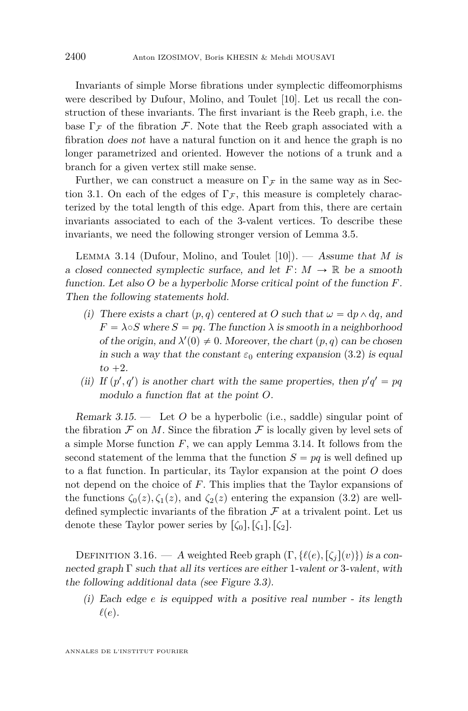Invariants of simple Morse fibrations under symplectic diffeomorphisms were described by Dufour, Molino, and Toulet [\[10\]](#page-48-8). Let us recall the construction of these invariants. The first invariant is the Reeb graph, i.e. the base  $\Gamma_{\mathcal{F}}$  of the fibration  $\mathcal{F}$ . Note that the Reeb graph associated with a fibration does not have a natural function on it and hence the graph is no longer parametrized and oriented. However the notions of a trunk and a branch for a given vertex still make sense.

Further, we can construct a measure on  $\Gamma_F$  in the same way as in Sec-tion [3.1.](#page-10-0) On each of the edges of  $\Gamma$ <sub>*F*</sub>, this measure is completely characterized by the total length of this edge. Apart from this, there are certain invariants associated to each of the 3-valent vertices. To describe these invariants, we need the following stronger version of Lemma [3.5.](#page-12-0)

<span id="page-16-1"></span>Lemma 3.14 (Dufour, Molino, and Toulet [\[10\]](#page-48-8)). — Assume that *M* is a closed connected symplectic surface, and let  $F: M \to \mathbb{R}$  be a smooth function. Let also *O* be a hyperbolic Morse critical point of the function *F*. Then the following statements hold.

- (i) There exists a chart  $(p, q)$  centered at *O* such that  $\omega = dp \wedge dq$ , and  $F = \lambda \circ S$  where  $S = pq$ . The function  $\lambda$  is smooth in a neighborhood of the origin, and  $\lambda'(0) \neq 0$ . Moreover, the chart  $(p, q)$  can be chosen in such a way that the constant  $\varepsilon_0$  entering expansion [\(3.2\)](#page-12-1) is equal  $to +2$ .
- (ii) If  $(p', q')$  is another chart with the same properties, then  $p'q' = pq$ modulo a function flat at the point *O*.

Remark 3.15. — Let *O* be a hyperbolic (i.e., saddle) singular point of the fibration  $\mathcal F$  on  $M$ . Since the fibration  $\mathcal F$  is locally given by level sets of a simple Morse function *F*, we can apply Lemma [3.14.](#page-16-1) It follows from the second statement of the lemma that the function  $S = pq$  is well defined up to a flat function. In particular, its Taylor expansion at the point *O* does not depend on the choice of *F*. This implies that the Taylor expansions of the functions  $\zeta_0(z), \zeta_1(z)$ , and  $\zeta_2(z)$  entering the expansion [\(3.2\)](#page-12-1) are welldefined symplectic invariants of the fibration  $\mathcal F$  at a trivalent point. Let us denote these Taylor power series by  $\lbrack \zeta_0 \rbrack$ ,  $\lbrack \zeta_1 \rbrack$ ,  $\lbrack \zeta_2 \rbrack$ .

<span id="page-16-0"></span>DEFINITION 3.16. — A weighted Reeb graph  $(Γ, \{ℓ(e), \lceil ζ<sub>j</sub>\rceil(v)\})$  is a connected graph  $\Gamma$  such that all its vertices are either 1-valent or 3-valent, with the following additional data (see Figure [3.3\)](#page-17-1).

(i) Each edge *e* is equipped with a positive real number - its length  $\ell(e)$ .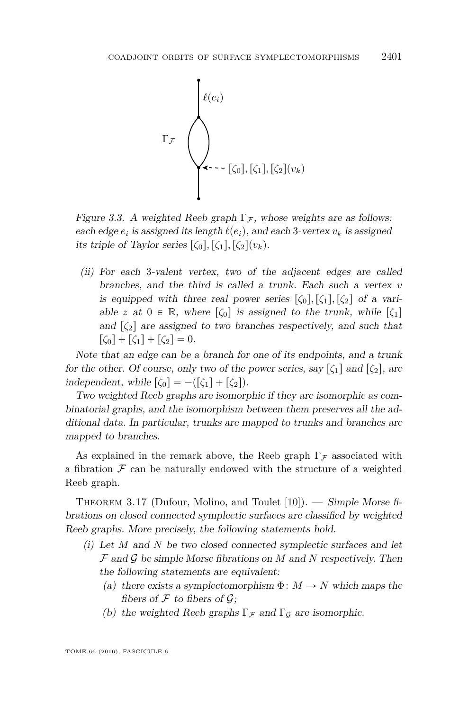

<span id="page-17-1"></span>Figure 3.3. A weighted Reeb graph  $\Gamma$ <sub>*F*</sub>, whose weights are as follows: each edge  $e_i$  is assigned its length  $\ell(e_i)$ , and each 3-vertex  $v_k$  is assigned its triple of Taylor series  $\lbrack \zeta_0 \rbrack$ ,  $\lbrack \zeta_1 \rbrack$ ,  $\lbrack \zeta_2 \rbrack (v_k)$ .

(ii) For each 3-valent vertex, two of the adjacent edges are called branches, and the third is called a trunk. Each such a vertex *v* is equipped with three real power series  $\lbrack \zeta_0 \rbrack, \lbrack \zeta_1 \rbrack, \lbrack \zeta_2 \rbrack$  of a variable *z* at  $0 \in \mathbb{R}$ , where  $\lbrack \zeta_0 \rbrack$  is assigned to the trunk, while  $\lbrack \zeta_1 \rbrack$ and  $\lbrack \zeta_2 \rbrack$  are assigned to two branches respectively, and such that  $\lceil \zeta_0 \rceil + \lceil \zeta_1 \rceil + \lceil \zeta_2 \rceil = 0.$ 

Note that an edge can be a branch for one of its endpoints, and a trunk for the other. Of course, only two of the power series, say  $\lbrack \zeta_1 \rbrack$  and  $\lbrack \zeta_2 \rbrack$ , are independent, while  $\lbrack \zeta_0 \rbrack = -(\lbrack \zeta_1 \rbrack + \lbrack \zeta_2 \rbrack).$ 

Two weighted Reeb graphs are isomorphic if they are isomorphic as combinatorial graphs, and the isomorphism between them preserves all the additional data. In particular, trunks are mapped to trunks and branches are mapped to branches.

As explained in the remark above, the Reeb graph  $\Gamma$ <sub>*F*</sub> associated with a fibration  $\mathcal F$  can be naturally endowed with the structure of a weighted Reeb graph.

<span id="page-17-0"></span>THEOREM 3.17 (Dufour, Molino, and Toulet  $[10]$ ). — Simple Morse fibrations on closed connected symplectic surfaces are classified by weighted Reeb graphs. More precisely, the following statements hold.

- (i) Let *M* and *N* be two closed connected symplectic surfaces and let F and G be simple Morse fibrations on *M* and *N* respectively. Then the following statements are equivalent:
	- (a) there exists a symplectomorphism  $\Phi \colon M \to N$  which maps the fibers of  $\mathcal F$  to fibers of  $\mathcal G$ ;
	- (b) the weighted Reeb graphs  $\Gamma_{\mathcal{F}}$  and  $\Gamma_{\mathcal{G}}$  are isomorphic.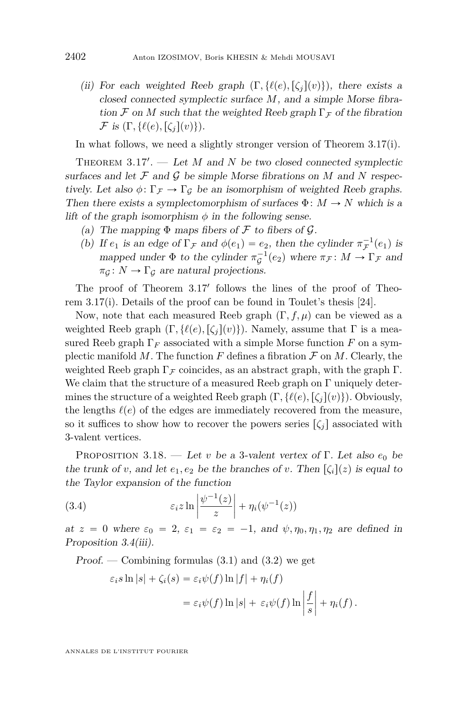(ii) For each weighted Reeb graph  $(\Gamma, \{ \ell(e), [\zeta_i](v) \})$ , there exists a closed connected symplectic surface *M*, and a simple Morse fibration F on M such that the weighted Reeb graph  $\Gamma$ <sub>F</sub> of the fibration  $\mathcal F$  is  $(\Gamma, \{ \ell(e), [\zeta_i](v) \}).$ 

In what follows, we need a slightly stronger version of Theorem [3.17\(](#page-17-0)i).

THEOREM  $3.17'$  $3.17'$ .  $-$  Let *M* and *N* be two closed connected symplectic surfaces and let  $\mathcal F$  and  $\mathcal G$  be simple Morse fibrations on  $M$  and  $N$  respectively. Let also  $\phi \colon \Gamma_{\mathcal{F}} \to \Gamma_{\mathcal{G}}$  be an isomorphism of weighted Reeb graphs. Then there exists a symplectomorphism of surfaces  $\Phi \colon M \to N$  which is a lift of the graph isomorphism  $\phi$  in the following sense.

- (a) The mapping  $\Phi$  maps fibers of  $\mathcal F$  to fibers of  $\mathcal G$ .
- (b) If  $e_1$  is an edge of  $\Gamma_{\mathcal{F}}$  and  $\phi(e_1) = e_2$ , then the cylinder  $\pi_{\mathcal{F}}^{-1}(e_1)$  is mapped under  $\Phi$  to the cylinder  $\pi_{\mathcal{G}}^{-1}(e_2)$  where  $\pi_{\mathcal{F}}: M \to \Gamma_{\mathcal{F}}$  and  $\pi_G \colon N \to \Gamma_G$  are natural projections.

The proof of Theorem [3.17](#page-17-0)' follows the lines of the proof of Theorem [3.17\(](#page-17-0)i). Details of the proof can be found in Toulet's thesis [\[24\]](#page-49-3).

Now, note that each measured Reeb graph  $(\Gamma, f, \mu)$  can be viewed as a weighted Reeb graph  $(\Gamma, \{\ell(e), [\zeta_i](v)\})$ . Namely, assume that  $\Gamma$  is a measured Reeb graph  $\Gamma_F$  associated with a simple Morse function  $F$  on a symplectic manifold M. The function  $F$  defines a fibration  $\mathcal F$  on  $M$ . Clearly, the weighted Reeb graph  $\Gamma$  π coincides, as an abstract graph, with the graph  $\Gamma$ . We claim that the structure of a measured Reeb graph on  $\Gamma$  uniquely determines the structure of a weighted Reeb graph  $(\Gamma, \{\ell(e), [\zeta_i](v)\})$ . Obviously, the lengths  $\ell(e)$  of the edges are immediately recovered from the measure, so it suffices to show how to recover the powers series  $\lbrack \zeta_i \rbrack$  associated with 3-valent vertices.

<span id="page-18-0"></span>Proposition 3.18. — Let *v* be a 3-valent vertex of Γ. Let also *e*<sup>0</sup> be the trunk of *v*, and let  $e_1, e_2$  be the branches of *v*. Then  $\left[\zeta_i\right](z)$  is equal to the Taylor expansion of the function

(3.4) 
$$
\varepsilon_i z \ln \left| \frac{\psi^{-1}(z)}{z} \right| + \eta_i(\psi^{-1}(z))
$$

at  $z = 0$  where  $\varepsilon_0 = 2$ ,  $\varepsilon_1 = \varepsilon_2 = -1$ , and  $\psi, \eta_0, \eta_1, \eta_2$  are defined in Proposition [3.4\(](#page-11-1)iii).

Proof. — Combining formulas  $(3.1)$  and  $(3.2)$  we get

$$
\varepsilon_i s \ln |s| + \zeta_i(s) = \varepsilon_i \psi(f) \ln |f| + \eta_i(f)
$$
  
=  $\varepsilon_i \psi(f) \ln |s| + \varepsilon_i \psi(f) \ln \left| \frac{f}{s} \right| + \eta_i(f).$ 

ANNALES DE L'INSTITUT FOURIER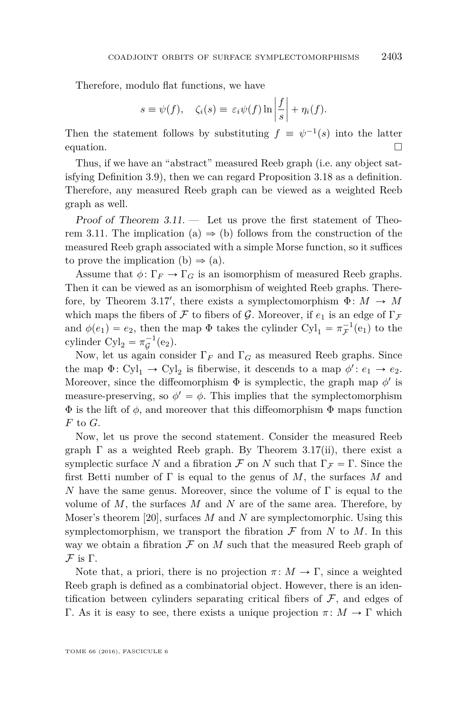ˇ

ˇ

Therefore, modulo flat functions, we have

$$
s \equiv \psi(f), \quad \zeta_i(s) \equiv \varepsilon_i \psi(f) \ln \left| \frac{f}{s} \right| + \eta_i(f).
$$

Then the statement follows by substituting  $f \equiv \psi^{-1}(s)$  into the latter equation.  $\Box$ 

Thus, if we have an "abstract" measured Reeb graph (i.e. any object satisfying Definition [3.9\)](#page-14-1), then we can regard Proposition [3.18](#page-18-0) as a definition. Therefore, any measured Reeb graph can be viewed as a weighted Reeb graph as well.

Proof of Theorem  $3.11.$  — Let us prove the first statement of Theo-rem [3.11.](#page-14-2) The implication (a)  $\Rightarrow$  (b) follows from the construction of the measured Reeb graph associated with a simple Morse function, so it suffices to prove the implication (b)  $\Rightarrow$  (a).

Assume that  $\phi \colon \Gamma_F \to \Gamma_G$  is an isomorphism of measured Reeb graphs. Then it can be viewed as an isomorphism of weighted Reeb graphs. There-fore, by Theorem [3.17](#page-17-0)', there exists a symplectomorphism  $\Phi: M \to M$ which maps the fibers of F to fibers of G. Moreover, if  $e_1$  is an edge of  $\Gamma_F$ and  $\phi(e_1) = e_2$ , then the map  $\Phi$  takes the cylinder Cyl<sub>1</sub> =  $\pi_{\mathcal{F}}^{-1}(e_1)$  to the cylinder  $\text{Cyl}_2 = \pi_{\mathcal{G}}^{-1}(e_2)$ .

Now, let us again consider  $\Gamma_F$  and  $\Gamma_G$  as measured Reeb graphs. Since the map  $\Phi:$  Cyl<sub>1</sub>  $\rightarrow$  Cyl<sub>2</sub> is fiberwise, it descends to a map  $\phi':$   $e_1 \rightarrow e_2$ . Moreover, since the diffeomorphism  $\Phi$  is symplectic, the graph map  $\phi'$  is measure-preserving, so  $\phi' = \phi$ . This implies that the symplectomorphism  $\Phi$  is the lift of  $\phi$ , and moreover that this diffeomorphism  $\Phi$  maps function *F* to *G*.

Now, let us prove the second statement. Consider the measured Reeb graph  $\Gamma$  as a weighted Reeb graph. By Theorem [3.17\(](#page-17-0)ii), there exist a symplectic surface *N* and a fibration  $\mathcal F$  on *N* such that  $\Gamma_{\mathcal F} = \Gamma$ . Since the first Betti number of Γ is equal to the genus of *M*, the surfaces *M* and *N* have the same genus. Moreover, since the volume of Γ is equal to the volume of *M*, the surfaces *M* and *N* are of the same area. Therefore, by Moser's theorem [\[20\]](#page-48-11), surfaces *M* and *N* are symplectomorphic. Using this symplectomorphism, we transport the fibration  $\mathcal F$  from  $N$  to  $M$ . In this way we obtain a fibration  $\mathcal F$  on  $M$  such that the measured Reeb graph of F is Γ.

Note that, a priori, there is no projection  $\pi \colon M \to \Gamma$ , since a weighted Reeb graph is defined as a combinatorial object. However, there is an identification between cylinders separating critical fibers of  $\mathcal{F}$ , and edges of Γ. As it is easy to see, there exists a unique projection  $\pi \colon M \to \Gamma$  which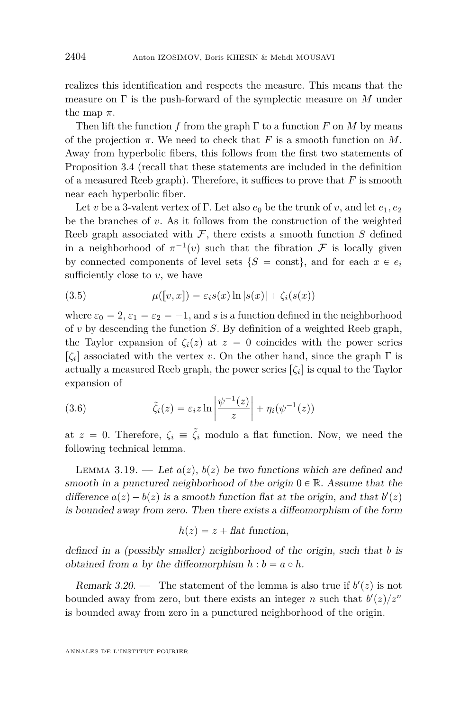realizes this identification and respects the measure. This means that the measure on Γ is the push-forward of the symplectic measure on *M* under the map  $\pi$ .

Then lift the function *f* from the graph  $\Gamma$  to a function *F* on *M* by means of the projection  $\pi$ . We need to check that *F* is a smooth function on *M*. Away from hyperbolic fibers, this follows from the first two statements of Proposition [3.4](#page-11-1) (recall that these statements are included in the definition of a measured Reeb graph). Therefore, it suffices to prove that *F* is smooth near each hyperbolic fiber.

Let *v* be a 3-valent vertex of Γ. Let also  $e_0$  be the trunk of *v*, and let  $e_1, e_2$ be the branches of *v*. As it follows from the construction of the weighted Reeb graph associated with  $\mathcal F$ , there exists a smooth function  $S$  defined in a neighborhood of  $\pi^{-1}(v)$  such that the fibration F is locally given by connected components of level sets  $\{S = \text{const}\}\$ , and for each  $x \in e_i$ sufficiently close to  $v$ , we have

<span id="page-20-1"></span>(3.5) 
$$
\mu([v,x]) = \varepsilon_i s(x) \ln |s(x)| + \zeta_i(s(x))
$$

where  $\varepsilon_0 = 2$ ,  $\varepsilon_1 = \varepsilon_2 = -1$ , and *s* is a function defined in the neighborhood of *v* by descending the function *S*. By definition of a weighted Reeb graph, the Taylor expansion of  $\zeta_i(z)$  at  $z = 0$  coincides with the power series  $\lbrack ζ<sub>i</sub>\rbrack$  associated with the vertex *v*. On the other hand, since the graph Γ is actually a measured Reeb graph, the power series  $\lbrack \zeta_i \rbrack$  is equal to the Taylor expansion of ˇ ˇ

<span id="page-20-2"></span>(3.6) 
$$
\tilde{\zeta}_i(z) = \varepsilon_i z \ln \left| \frac{\psi^{-1}(z)}{z} \right| + \eta_i(\psi^{-1}(z))
$$

at  $z = 0$ . Therefore,  $\zeta_i \equiv \tilde{\zeta}_i$  modulo a flat function. Now, we need the following technical lemma.

<span id="page-20-0"></span>LEMMA 3.19. — Let  $a(z)$ ,  $b(z)$  be two functions which are defined and smooth in a punctured neighborhood of the origin  $0 \in \mathbb{R}$ . Assume that the difference  $a(z) - b(z)$  is a smooth function flat at the origin, and that  $b'(z)$ is bounded away from zero. Then there exists a diffeomorphism of the form

$$
h(z) = z + \text{flat function},
$$

defined in a (possibly smaller) neighborhood of the origin, such that *b* is obtained from *a* by the diffeomorphism  $h : b = a \circ h$ .

Remark 3.20. — The statement of the lemma is also true if  $b'(z)$  is not bounded away from zero, but there exists an integer *n* such that  $b'(z)/z^n$ is bounded away from zero in a punctured neighborhood of the origin.

ANNALES DE L'INSTITUT FOURIER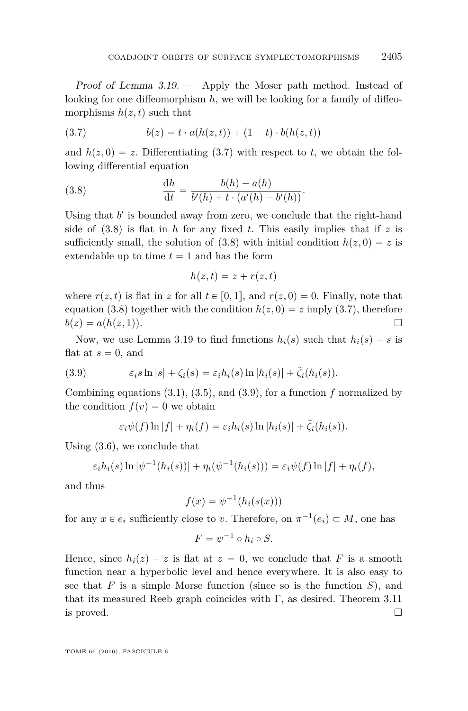Proof of Lemma  $3.19.$  - Apply the Moser path method. Instead of looking for one diffeomorphism *h*, we will be looking for a family of diffeomorphisms  $h(z, t)$  such that

<span id="page-21-0"></span>(3.7) 
$$
b(z) = t \cdot a(h(z, t)) + (1 - t) \cdot b(h(z, t))
$$

and  $h(z, 0) = z$ . Differentiating [\(3.7\)](#page-21-0) with respect to *t*, we obtain the following differential equation

(3.8) 
$$
\frac{dh}{dt} = \frac{b(h) - a(h)}{b'(h) + t \cdot (a'(h) - b'(h))}.
$$

Using that  $b'$  is bounded away from zero, we conclude that the right-hand side of  $(3.8)$  is flat in *h* for any fixed *t*. This easily implies that if *z* is sufficiently small, the solution of  $(3.8)$  with initial condition  $h(z, 0) = z$  is extendable up to time  $t = 1$  and has the form

<span id="page-21-1"></span>
$$
h(z,t) = z + r(z,t)
$$

where  $r(z, t)$  is flat in z for all  $t \in [0, 1]$ , and  $r(z, 0) = 0$ . Finally, note that equation [\(3.8\)](#page-21-1) together with the condition  $h(z, 0) = z$  imply [\(3.7\)](#page-21-0), therefore  $b(z) = a(h(z,1)).$ 

Now, we use Lemma [3.19](#page-20-0) to find functions  $h_i(s)$  such that  $h_i(s) - s$  is flat at  $s = 0$ , and

<span id="page-21-2"></span>(3.9) 
$$
\varepsilon_i s \ln |s| + \zeta_i(s) = \varepsilon_i h_i(s) \ln |h_i(s)| + \tilde{\zeta}_i(h_i(s)).
$$

Combining equations [\(3.1\)](#page-12-2), [\(3.5\)](#page-20-1), and [\(3.9\)](#page-21-2), for a function *f* normalized by the condition  $f(v) = 0$  we obtain

$$
\varepsilon_i \psi(f) \ln |f| + \eta_i(f) = \varepsilon_i h_i(s) \ln |h_i(s)| + \tilde{\zeta}_i(h_i(s)).
$$

Using [\(3.6\)](#page-20-2), we conclude that

$$
\varepsilon_i h_i(s) \ln |\psi^{-1}(h_i(s))| + \eta_i(\psi^{-1}(h_i(s))) = \varepsilon_i \psi(f) \ln |f| + \eta_i(f),
$$

and thus

$$
f(x) = \psi^{-1}(h_i(s(x)))
$$

for any  $x \in e_i$  sufficiently close to *v*. Therefore, on  $\pi^{-1}(e_i) \subset M$ , one has

$$
F = \psi^{-1} \circ h_i \circ S.
$$

Hence, since  $h_i(z) - z$  is flat at  $z = 0$ , we conclude that F is a smooth function near a hyperbolic level and hence everywhere. It is also easy to see that *F* is a simple Morse function (since so is the function *S*), and that its measured Reeb graph coincides with  $\Gamma$ , as desired. Theorem [3.11](#page-14-2) is proved.  $\Box$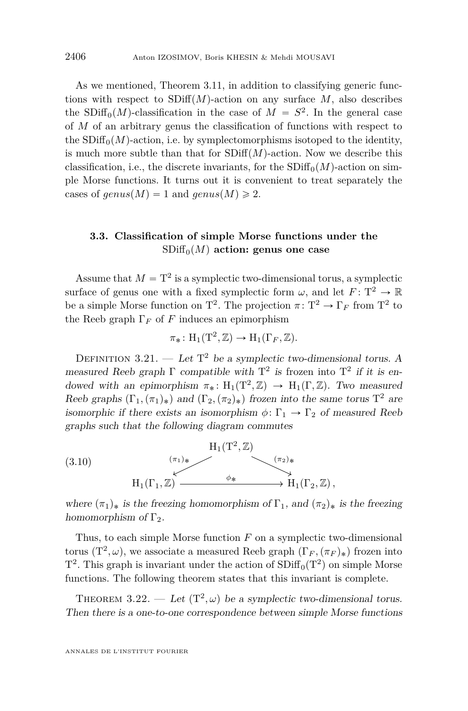As we mentioned, Theorem [3.11,](#page-14-2) in addition to classifying generic functions with respect to  $SDiff(M)$ -action on any surface *M*, also describes the SDiff<sub>0</sub> $(M)$ -classification in the case of  $M = S^2$ . In the general case of *M* of an arbitrary genus the classification of functions with respect to the  $SDiff<sub>0</sub>(M)$ -action, i.e. by symplectomorphisms isotoped to the identity, is much more subtle than that for  $SDiff(M)$ -action. Now we describe this classification, i.e., the discrete invariants, for the  $SDiff<sub>0</sub>(M)$ -action on simple Morse functions. It turns out it is convenient to treat separately the cases of *genus* $(M) = 1$  and *genus* $(M) \ge 2$ .

#### <span id="page-22-0"></span>**3.3. Classification of simple Morse functions under the**  $SDiff<sub>0</sub>(M)$  action: genus one case

Assume that  $M = T^2$  is a symplectic two-dimensional torus, a symplectic surface of genus one with a fixed symplectic form  $\omega$ , and let  $F: \mathbb{T}^2 \to \mathbb{R}$ be a simple Morse function on T<sup>2</sup>. The projection  $\pi \colon \mathbb{T}^2 \to \Gamma_F$  from T<sup>2</sup> to the Reeb graph  $\Gamma_F$  of *F* induces an epimorphism

$$
\pi_*\colon H_1(T^2, \mathbb{Z}) \to H_1(\Gamma_F, \mathbb{Z}).
$$

<span id="page-22-3"></span>DEFINITION 3.21. — Let  $T^2$  be a symplectic two-dimensional torus. A measured Reeb graph  $\Gamma$  compatible with  $T^2$  is frozen into  $T^2$  if it is endowed with an epimorphism  $\pi_* \colon H_1(T^2, \mathbb{Z}) \to H_1(\Gamma, \mathbb{Z})$ . Two measured Reeb graphs  $(\Gamma_1, (\pi_1)_*)$  and  $(\Gamma_2, (\pi_2)_*)$  frozen into the same torus  $T^2$  are isomorphic if there exists an isomorphism  $\phi \colon \Gamma_1 \to \Gamma_2$  of measured Reeb graphs such that the following diagram commutes

<span id="page-22-2"></span>(3.10)  
\n
$$
H_1(T^2, \mathbb{Z})
$$
\n
$$
H_1(\Gamma_1, \mathbb{Z}) \xrightarrow{\qquad (\pi_2)_{*}} H_1(\Gamma_2, \mathbb{Z}),
$$
\n
$$
H_1(\Gamma_1, \mathbb{Z}) \xrightarrow{\qquad \phi_{*}} H_1(\Gamma_2, \mathbb{Z}),
$$

where  $(\pi_1)_*$  is the freezing homomorphism of  $\Gamma_1$ , and  $(\pi_2)_*$  is the freezing homomorphism of  $\Gamma_2$ .

Thus, to each simple Morse function *F* on a symplectic two-dimensional torus  $(T^2, \omega)$ , we associate a measured Reeb graph  $(\Gamma_F, (\pi_F)_*)$  frozen into  $T^2$ . This graph is invariant under the action of  $SDiff_0(T^2)$  on simple Morse functions. The following theorem states that this invariant is complete.

<span id="page-22-1"></span>THEOREM 3.22. — Let  $(T^2, \omega)$  be a symplectic two-dimensional torus. Then there is a one-to-one correspondence between simple Morse functions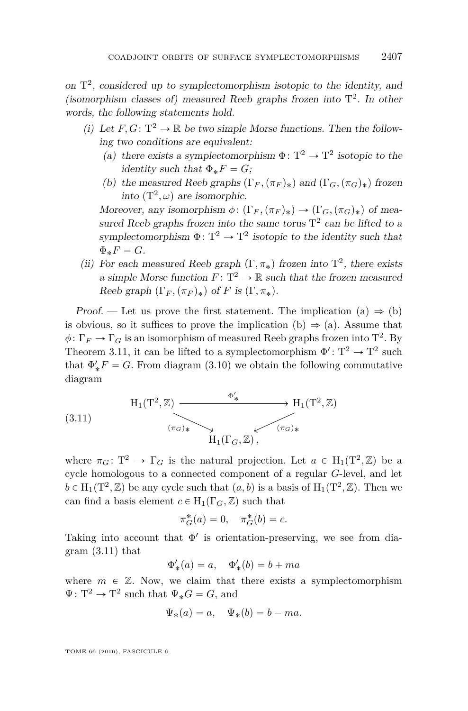on  $T^2$ , considered up to symplectomorphism isotopic to the identity, and (isomorphism classes of) measured Reeb graphs frozen into  $T^2$ . In other words, the following statements hold.

- (i) Let  $F, G: \mathbb{T}^2 \to \mathbb{R}$  be two simple Morse functions. Then the following two conditions are equivalent:
	- (a) there exists a symplectomorphism  $\Phi: \mathbb{T}^2 \to \mathbb{T}^2$  isotopic to the identity such that  $\Phi_* F = G$ ;
	- (b) the measured Reeb graphs  $(\Gamma_F, (\pi_F)_*)$  and  $(\Gamma_G, (\pi_G)_*)$  frozen into  $(T^2, \omega)$  are isomorphic.

Moreover, any isomorphism  $\phi: (\Gamma_F, (\pi_F)_*) \to (\Gamma_G, (\pi_G)_*)$  of measured Reeb graphs frozen into the same torus  $T^2$  can be lifted to a symplectomorphism  $\Phi: \mathbb{T}^2 \to \mathbb{T}^2$  isotopic to the identity such that  $\Phi_* F = G$ .

(ii) For each measured Reeb graph  $(\Gamma, \pi_*)$  frozen into  $T^2$ , there exists a simple Morse function  $F: \mathbb{T}^2 \to \mathbb{R}$  such that the frozen measured Reeb graph  $(\Gamma_F, (\pi_F)_*)$  of *F* is  $(\Gamma, \pi_*)$ .

Proof. — Let us prove the first statement. The implication (a)  $\Rightarrow$  (b) is obvious, so it suffices to prove the implication (b)  $\Rightarrow$  (a). Assume that  $\phi \colon \Gamma_F \to \Gamma_G$  is an isomorphism of measured Reeb graphs frozen into T<sup>2</sup>. By Theorem [3.11,](#page-14-2) it can be lifted to a symplectomorphism  $\Phi' : T^2 \to T^2$  such that  $\Phi'_*F = G$ . From diagram [\(3.10\)](#page-22-2) we obtain the following commutative diagram

<span id="page-23-0"></span>(3.11) 
$$
H_1(T^2, \mathbb{Z}) \xrightarrow{\Phi'_*} H_1(T^2, \mathbb{Z})
$$
  
\n $\xrightarrow{(\pi_G)_*} H_1(\Gamma_G, \mathbb{Z}),$ 

where  $\pi_G: \mathbb{T}^2 \to \Gamma_G$  is the natural projection. Let  $a \in H_1(\mathbb{T}^2, \mathbb{Z})$  be a cycle homologous to a connected component of a regular *G*-level, and let  $b \in H_1(T^2, \mathbb{Z})$  be any cycle such that  $(a, b)$  is a basis of  $H_1(T^2, \mathbb{Z})$ . Then we can find a basis element  $c \in H_1(\Gamma_G, \mathbb{Z})$  such that

$$
\pi_G^*(a) = 0, \quad \pi_G^*(b) = c.
$$

Taking into account that  $\Phi'$  is orientation-preserving, we see from diagram  $(3.11)$  that

$$
\Phi'_{*}(a) = a, \quad \Phi'_{*}(b) = b + ma
$$

where  $m \in \mathbb{Z}$ . Now, we claim that there exists a symplectomorphism  $\Psi: \mathbf{T}^2 \to \mathbf{T}^2$  such that  $\Psi_* G = G$ , and

$$
\Psi_*(a) = a, \quad \Psi_*(b) = b - ma.
$$

TOME 66 (2016), FASCICULE 6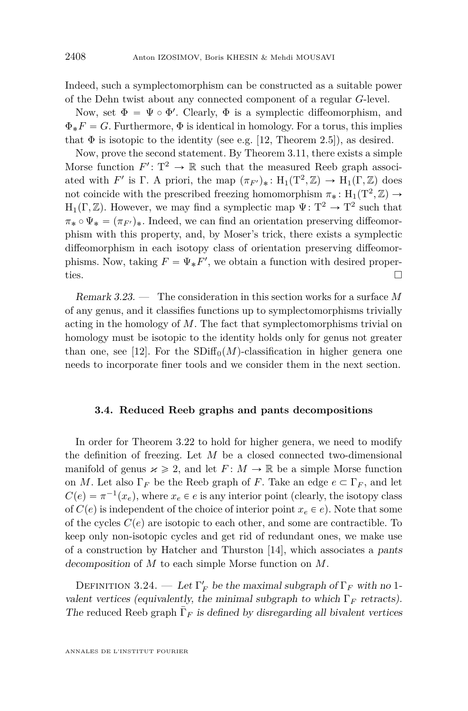Indeed, such a symplectomorphism can be constructed as a suitable power of the Dehn twist about any connected component of a regular *G*-level.

Now, set  $\Phi = \Psi \circ \Phi'$ . Clearly,  $\Phi$  is a symplectic diffeomorphism, and  $\Phi_*F = G$ . Furthermore,  $\Phi$  is identical in homology. For a torus, this implies that  $\Phi$  is isotopic to the identity (see e.g. [\[12,](#page-48-12) Theorem 2.5]), as desired.

Now, prove the second statement. By Theorem [3.11,](#page-14-2) there exists a simple Morse function  $F' : T^2 \to \mathbb{R}$  such that the measured Reeb graph associated with *F'* is Γ. A priori, the map  $(\pi_{F'})_* : H_1(T^2, \mathbb{Z}) \to H_1(\Gamma, \mathbb{Z})$  does not coincide with the prescribed freezing homomorphism  $\pi_* \colon H_1(T^2, \mathbb{Z}) \to$  $H_1(\Gamma, \mathbb{Z})$ . However, we may find a symplectic map  $\Psi \colon T^2 \to T^2$  such that  $\pi_* \circ \Psi_* = (\pi_{F'})_*$ . Indeed, we can find an orientation preserving diffeomorphism with this property, and, by Moser's trick, there exists a symplectic diffeomorphism in each isotopy class of orientation preserving diffeomorphisms. Now, taking  $F = \Psi_* F'$ , we obtain a function with desired properties.  $\Box$ 

Remark 3.23. — The consideration in this section works for a surface *M* of any genus, and it classifies functions up to symplectomorphisms trivially acting in the homology of *M*. The fact that symplectomorphisms trivial on homology must be isotopic to the identity holds only for genus not greater than one, see [\[12\]](#page-48-12). For the  $SDiff<sub>0</sub>(M)$ -classification in higher genera one needs to incorporate finer tools and we consider them in the next section.

#### **3.4. Reduced Reeb graphs and pants decompositions**

In order for Theorem [3.22](#page-22-1) to hold for higher genera, we need to modify the definition of freezing. Let *M* be a closed connected two-dimensional manifold of genus  $x \ge 2$ , and let  $F: M \to \mathbb{R}$  be a simple Morse function on *M*. Let also  $\Gamma_F$  be the Reeb graph of *F*. Take an edge  $e \subset \Gamma_F$ , and let  $C(e) = \pi^{-1}(x_e)$ , where  $x_e \in e$  is any interior point (clearly, the isotopy class of  $C(e)$  is independent of the choice of interior point  $x_e \in e$ ). Note that some of the cycles  $C(e)$  are isotopic to each other, and some are contractible. To keep only non-isotopic cycles and get rid of redundant ones, we make use of a construction by Hatcher and Thurston [\[14\]](#page-48-13), which associates a pants decomposition of *M* to each simple Morse function on *M*.

DEFINITION 3.24. — Let  $\Gamma'_F$  be the maximal subgraph of  $\Gamma_F$  with no 1valent vertices (equivalently, the minimal subgraph to which  $\Gamma_F$  retracts). The reduced Reeb graph  $\bar{\Gamma}_F$  is defined by disregarding all bivalent vertices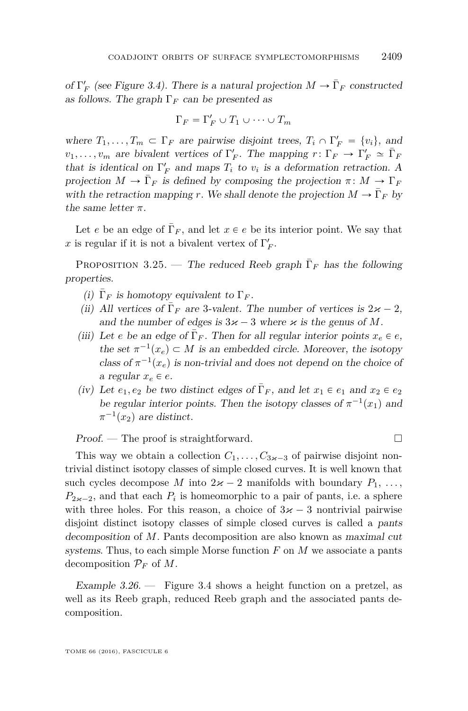of  $\Gamma'_F$  (see Figure [3.4\)](#page-26-0). There is a natural projection  $M \to \overline{\Gamma}_F$  constructed as follows. The graph  $\Gamma_F$  can be presented as

$$
\Gamma_F = \Gamma'_F \cup T_1 \cup \cdots \cup T_m
$$

where  $T_1, \ldots, T_m \subset \Gamma_F$  are pairwise disjoint trees,  $T_i \cap \Gamma'_F = \{v_i\}$ , and  $v_1, \ldots, v_m$  are bivalent vertices of  $\Gamma'_F$ . The mapping  $r: \Gamma_F \to \Gamma'_F \simeq \bar{\Gamma}_F$ that is identical on  $\Gamma'_F$  and maps  $T_i$  to  $v_i$  is a deformation retraction. A projection  $M \to \bar{\Gamma}_F$  is defined by composing the projection  $\pi \colon M \to \Gamma_F$ with the retraction mapping *r*. We shall denote the projection  $M \to \bar{\Gamma}_F$  by the same letter  $\pi$ .

Let *e* be an edge of  $\overline{\Gamma}_F$ , and let  $x \in e$  be its interior point. We say that x is regular if it is not a bivalent vertex of  $\Gamma'_F$ .

PROPOSITION 3.25. — The reduced Reeb graph  $\bar{\Gamma}_F$  has the following properties.

- (i)  $\bar{\Gamma}_F$  is homotopy equivalent to  $\Gamma_F$ .
- (ii) All vertices of  $\bar{\Gamma}_F$  are 3-valent. The number of vertices is  $2\varkappa 2$ , and the number of edges is  $3\varkappa - 3$  where  $\varkappa$  is the genus of M.
- (iii) Let *e* be an edge of  $\overline{\Gamma}_F$ . Then for all regular interior points  $x_e \in e$ , the set  $\pi^{-1}(x_e) \subset M$  is an embedded circle. Moreover, the isotopy class of  $\pi^{-1}(x_e)$  is non-trivial and does not depend on the choice of a regular  $x_e \in e$ .
- (iv) Let  $e_1, e_2$  be two distinct edges of  $\overline{\Gamma}_F$ , and let  $x_1 \in e_1$  and  $x_2 \in e_2$ be regular interior points. Then the isotopy classes of  $\pi^{-1}(x_1)$  and  $\pi^{-1}(x_2)$  are distinct.

 $Proof.$  — The proof is straightforward.

This way we obtain a collection  $C_1, \ldots, C_{3\kappa-3}$  of pairwise disjoint nontrivial distinct isotopy classes of simple closed curves. It is well known that such cycles decompose *M* into  $2x - 2$  manifolds with boundary  $P_1, \ldots,$  $P_{2 \times -2}$ , and that each  $P_i$  is homeomorphic to a pair of pants, i.e. a sphere with three holes. For this reason, a choice of  $3\varkappa - 3$  nontrivial pairwise disjoint distinct isotopy classes of simple closed curves is called a pants decomposition of *M*. Pants decomposition are also known as maximal cut systems. Thus, to each simple Morse function *F* on *M* we associate a pants decomposition  $\mathcal{P}_F$  of M.

Example  $3.26$ . — Figure [3.4](#page-26-0) shows a height function on a pretzel, as well as its Reeb graph, reduced Reeb graph and the associated pants decomposition.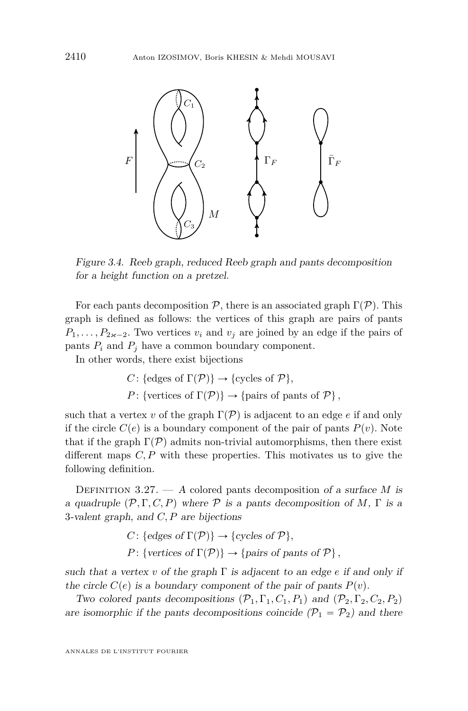

<span id="page-26-0"></span>Figure 3.4. Reeb graph, reduced Reeb graph and pants decomposition for a height function on a pretzel.

For each pants decomposition  $P$ , there is an associated graph  $\Gamma(\mathcal{P})$ . This graph is defined as follows: the vertices of this graph are pairs of pants  $P_1, \ldots, P_{2 \varkappa - 2}$ . Two vertices  $v_i$  and  $v_j$  are joined by an edge if the pairs of pants  $P_i$  and  $P_j$  have a common boundary component.

In other words, there exist bijections

$$
C: \{\text{edges of } \Gamma(\mathcal{P})\} \to \{\text{cycles of } \mathcal{P}\},\
$$

$$
P: \{\text{vertices of } \Gamma(\mathcal{P})\} \to \{\text{pairs of parts of } \mathcal{P}\},\
$$

such that a vertex *v* of the graph  $\Gamma(\mathcal{P})$  is adjacent to an edge *e* if and only if the circle  $C(e)$  is a boundary component of the pair of pants  $P(v)$ . Note that if the graph  $\Gamma(\mathcal{P})$  admits non-trivial automorphisms, then there exist different maps *C, P* with these properties. This motivates us to give the following definition.

DEFINITION 3.27. — A colored pants decomposition of a surface M is a quadruple  $(\mathcal{P}, \Gamma, C, P)$  where  $\mathcal P$  is a pants decomposition of *M*,  $\Gamma$  is a 3-valent graph, and *C, P* are bijections

$$
C: \{edges \ of \ \Gamma(\mathcal{P})\} \to \{cycles \ of \ \mathcal{P}\},\
$$

$$
P: \{vertices \ of \ \Gamma(\mathcal{P})\} \to \{pairs \ of \ pants \ of \ \mathcal{P}\},\
$$

such that a vertex *v* of the graph  $\Gamma$  is adjacent to an edge *e* if and only if the circle  $C(e)$  is a boundary component of the pair of pants  $P(v)$ .

Two colored pants decompositions  $(\mathcal{P}_1, \Gamma_1, C_1, P_1)$  and  $(\mathcal{P}_2, \Gamma_2, C_2, P_2)$ are isomorphic if the pants decompositions coincide  $(\mathcal{P}_1 = \mathcal{P}_2)$  and there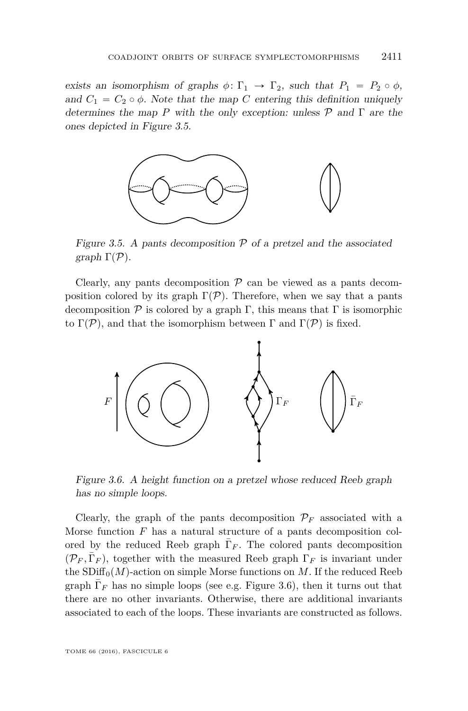exists an isomorphism of graphs  $\phi: \Gamma_1 \to \Gamma_2$ , such that  $P_1 = P_2 \circ \phi$ , and  $C_1 = C_2 \circ \phi$ . Note that the map *C* entering this definition uniquely determines the map *P* with the only exception: unless P and Γ are the ones depicted in Figure [3.5.](#page-27-0)



<span id="page-27-0"></span>Figure 3.5. A pants decomposition  $P$  of a pretzel and the associated graph  $\Gamma(\mathcal{P})$ .

Clearly, any pants decomposition  $P$  can be viewed as a pants decomposition colored by its graph  $\Gamma(\mathcal{P})$ . Therefore, when we say that a pants decomposition  $\mathcal P$  is colored by a graph  $\Gamma$ , this means that  $\Gamma$  is isomorphic to  $\Gamma(\mathcal{P})$ , and that the isomorphism between  $\Gamma$  and  $\Gamma(\mathcal{P})$  is fixed.



<span id="page-27-1"></span>Figure 3.6. A height function on a pretzel whose reduced Reeb graph has no simple loops.

Clearly, the graph of the pants decomposition  $\mathcal{P}_F$  associated with a Morse function *F* has a natural structure of a pants decomposition colored by the reduced Reeb graph  $\bar{\Gamma}_F$ . The colored pants decomposition  $(\mathcal{P}_F, \bar{\Gamma}_F)$ , together with the measured Reeb graph  $\Gamma_F$  is invariant under the  $SDiff<sub>0</sub>(M)$ -action on simple Morse functions on *M*. If the reduced Reeb graph  $\bar{\Gamma}_F$  has no simple loops (see e.g. Figure [3.6\)](#page-27-1), then it turns out that there are no other invariants. Otherwise, there are additional invariants associated to each of the loops. These invariants are constructed as follows.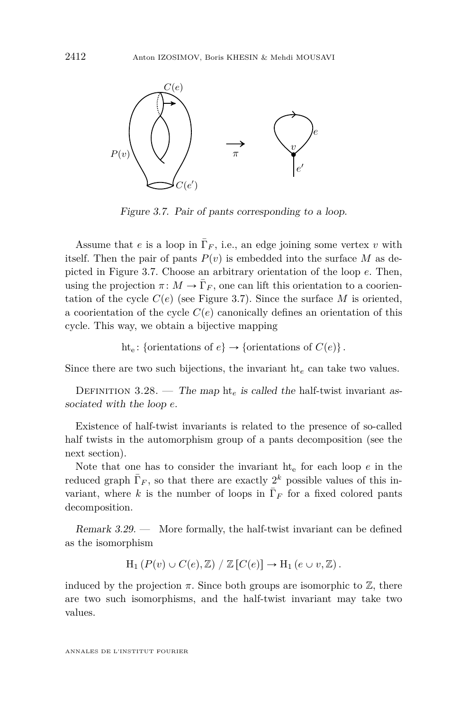

<span id="page-28-0"></span>Figure 3.7. Pair of pants corresponding to a loop.

Assume that *e* is a loop in  $\overline{\Gamma}_F$ , i.e., an edge joining some vertex *v* with itself. Then the pair of pants  $P(v)$  is embedded into the surface M as depicted in Figure [3.7.](#page-28-0) Choose an arbitrary orientation of the loop *e*. Then, using the projection  $\pi \colon M \to \bar{\Gamma}_F$ , one can lift this orientation to a coorientation of the cycle  $C(e)$  (see Figure [3.7\)](#page-28-0). Since the surface *M* is oriented, a coorientation of the cycle  $C(e)$  canonically defines an orientation of this cycle. This way, we obtain a bijective mapping

ht<sub>e</sub>: {orientations of  $e$ }  $\rightarrow$  {orientations of  $C(e)$ }.

Since there are two such bijections, the invariant ht*<sup>e</sup>* can take two values.

DEFINITION 3.28. — The map  $\text{ht}_e$  is called the half-twist invariant associated with the loop *e*.

Existence of half-twist invariants is related to the presence of so-called half twists in the automorphism group of a pants decomposition (see the next section).

Note that one has to consider the invariant  $h t<sub>e</sub>$  for each loop  $e$  in the reduced graph  $\bar{\Gamma}_F$ , so that there are exactly  $2^k$  possible values of this invariant, where *k* is the number of loops in  $\overline{\Gamma}_F$  for a fixed colored pants decomposition.

Remark 3.29. — More formally, the half-twist invariant can be defined as the isomorphism

$$
H_1(P(v) \cup C(e), \mathbb{Z}) / \mathbb{Z}[C(e)] \to H_1(e \cup v, \mathbb{Z}).
$$

induced by the projection  $\pi$ . Since both groups are isomorphic to  $\mathbb{Z}$ , there are two such isomorphisms, and the half-twist invariant may take two values.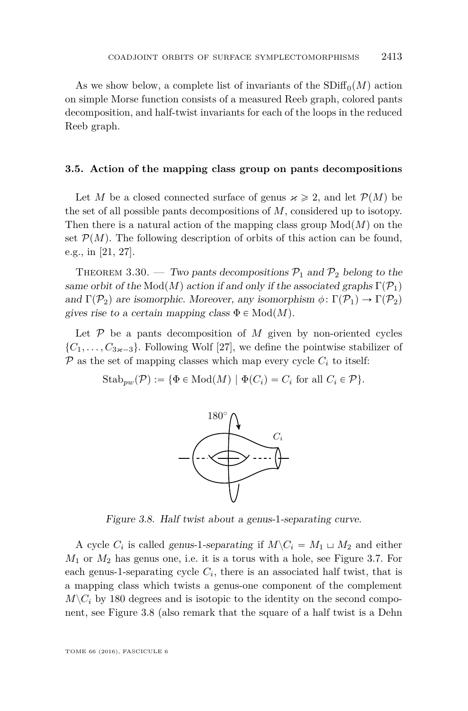As we show below, a complete list of invariants of the  $SDiff<sub>0</sub>(M)$  action on simple Morse function consists of a measured Reeb graph, colored pants decomposition, and half-twist invariants for each of the loops in the reduced Reeb graph.

#### **3.5. Action of the mapping class group on pants decompositions**

Let *M* be a closed connected surface of genus  $\varkappa \geq 2$ , and let  $\mathcal{P}(M)$  be the set of all possible pants decompositions of *M*, considered up to isotopy. Then there is a natural action of the mapping class group  $Mod(M)$  on the set  $\mathcal{P}(M)$ . The following description of orbits of this action can be found, e.g., in [\[21,](#page-48-14) [27\]](#page-49-4).

<span id="page-29-1"></span>THEOREM 3.30. — Two pants decompositions  $P_1$  and  $P_2$  belong to the same orbit of the Mod $(M)$  action if and only if the associated graphs  $\Gamma(\mathcal{P}_1)$ and  $\Gamma(\mathcal{P}_2)$  are isomorphic. Moreover, any isomorphism  $\phi \colon \Gamma(\mathcal{P}_1) \to \Gamma(\mathcal{P}_2)$ gives rise to a certain mapping class  $\Phi \in Mod(M)$ .

Let  $P$  be a pants decomposition of  $M$  given by non-oriented cycles  $\{C_1, \ldots, C_{3\kappa-3}\}\.$  Following Wolf [\[27\]](#page-49-4), we define the pointwise stabilizer of  $\mathcal P$  as the set of mapping classes which map every cycle  $C_i$  to itself:

 $\text{Stab}_{pw}(\mathcal{P}) := \{ \Phi \in \text{Mod}(M) \mid \Phi(C_i) = C_i \text{ for all } C_i \in \mathcal{P} \}.$ 



<span id="page-29-0"></span>Figure 3.8. Half twist about a genus-1-separating curve.

A cycle  $C_i$  is called genus-1-separating if  $M \setminus C_i = M_1 \sqcup M_2$  and either  $M_1$  or  $M_2$  has genus one, i.e. it is a torus with a hole, see Figure [3.7.](#page-28-0) For each genus-1-separating cycle  $C_i$ , there is an associated half twist, that is a mapping class which twists a genus-one component of the complement  $M\backslash C_i$  by 180 degrees and is isotopic to the identity on the second component, see Figure [3.8](#page-29-0) (also remark that the square of a half twist is a Dehn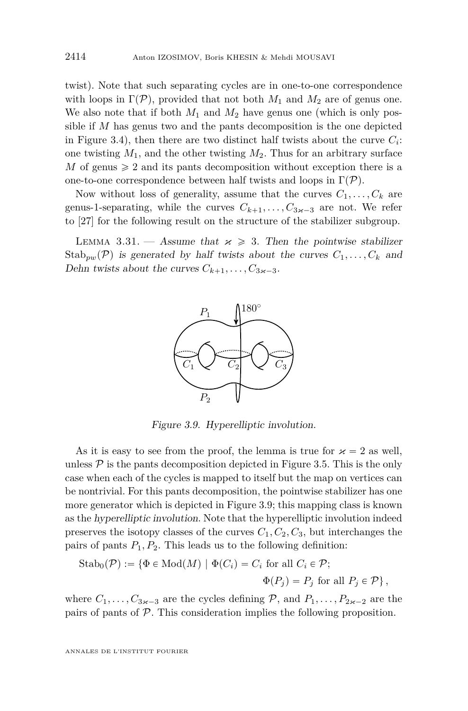twist). Note that such separating cycles are in one-to-one correspondence with loops in  $\Gamma(\mathcal{P})$ , provided that not both  $M_1$  and  $M_2$  are of genus one. We also note that if both  $M_1$  and  $M_2$  have genus one (which is only possible if *M* has genus two and the pants decomposition is the one depicted in Figure [3.4\)](#page-26-0), then there are two distinct half twists about the curve  $C_i$ : one twisting  $M_1$ , and the other twisting  $M_2$ . Thus for an arbitrary surface *M* of genus  $\geq 2$  and its pants decomposition without exception there is a one-to-one correspondence between half twists and loops in  $\Gamma(\mathcal{P})$ .

Now without loss of generality, assume that the curves  $C_1, \ldots, C_k$  are genus-1-separating, while the curves  $C_{k+1}, \ldots, C_{3\kappa-3}$  are not. We refer to [\[27\]](#page-49-4) for the following result on the structure of the stabilizer subgroup.

LEMMA 3.31. — Assume that  $x \ge 3$ . Then the pointwise stabilizer  $Stab_{pw}(\mathcal{P})$  is generated by half twists about the curves  $C_1, \ldots, C_k$  and Dehn twists about the curves  $C_{k+1}, \ldots, C_{3\kappa-3}$ .



<span id="page-30-0"></span>Figure 3.9. Hyperelliptic involution.

As it is easy to see from the proof, the lemma is true for  $\varkappa = 2$  as well, unless  $\mathcal P$  is the pants decomposition depicted in Figure [3.5.](#page-27-0) This is the only case when each of the cycles is mapped to itself but the map on vertices can be nontrivial. For this pants decomposition, the pointwise stabilizer has one more generator which is depicted in Figure [3.9;](#page-30-0) this mapping class is known as the hyperelliptic involution. Note that the hyperelliptic involution indeed preserves the isotopy classes of the curves  $C_1, C_2, C_3$ , but interchanges the pairs of pants  $P_1, P_2$ . This leads us to the following definition:

$$
\text{Stab}_{0}(\mathcal{P}) := \{ \Phi \in \text{Mod}(M) \mid \Phi(C_{i}) = C_{i} \text{ for all } C_{i} \in \mathcal{P};
$$

$$
\Phi(P_{j}) = P_{j} \text{ for all } P_{j} \in \mathcal{P} \},
$$

where  $C_1, \ldots, C_{3\kappa-3}$  are the cycles defining  $P$ , and  $P_1, \ldots, P_{2\kappa-2}$  are the pairs of pants of P. This consideration implies the following proposition.

ANNALES DE L'INSTITUT FOURIER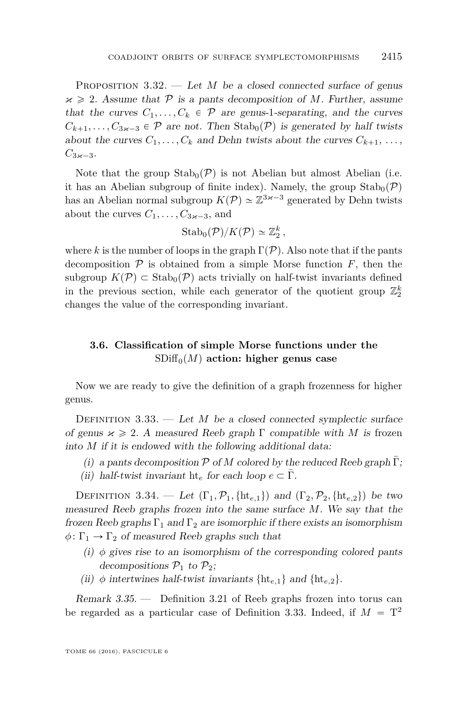<span id="page-31-2"></span>PROPOSITION 3.32. — Let *M* be a closed connected surface of genus  $x \geq 2$ . Assume that P is a pants decomposition of M. Further, assume that the curves  $C_1, \ldots, C_k \in \mathcal{P}$  are genus-1-separating, and the curves  $C_{k+1}, \ldots, C_{3k-3} \in \mathcal{P}$  are not. Then Stab<sub>0</sub> $(\mathcal{P})$  is generated by half twists about the curves  $C_1, \ldots, C_k$  and Dehn twists about the curves  $C_{k+1}, \ldots$ ,  $C_{3\kappa-3}$ .

Note that the group  $\text{Stab}_0(\mathcal{P})$  is not Abelian but almost Abelian (i.e. it has an Abelian subgroup of finite index). Namely, the group  $\text{Stab}_{0}(\mathcal{P})$ has an Abelian normal subgroup  $K(\mathcal{P}) \simeq \mathbb{Z}^{3 \times -3}$  generated by Dehn twists about the curves  $C_1, \ldots, C_{3k-3}$ , and

$$
\mathrm{Stab}_0(\mathcal{P})/K(\mathcal{P})\simeq \mathbb{Z}_2^k,
$$

where k is the number of loops in the graph  $\Gamma(\mathcal{P})$ . Also note that if the pants decomposition  $P$  is obtained from a simple Morse function  $F$ , then the subgroup  $K(\mathcal{P}) \subset \text{Stab}_0(\mathcal{P})$  acts trivially on half-twist invariants defined in the previous section, while each generator of the quotient group  $\mathbb{Z}_2^k$ changes the value of the corresponding invariant.

#### <span id="page-31-0"></span>**3.6. Classification of simple Morse functions under the**  $SDiff<sub>0</sub>(M)$  action: higher genus case

Now we are ready to give the definition of a graph frozenness for higher genus.

<span id="page-31-1"></span>DEFINITION 3.33. — Let *M* be a closed connected symplectic surface of genus  $x \ge 2$ . A measured Reeb graph  $\Gamma$  compatible with *M* is frozen into *M* if it is endowed with the following additional data:

- (i) a pants decomposition  $P$  of M colored by the reduced Reeb graph  $\overline{\Gamma}$ ;
- (ii) half-twist invariant ht<sub>e</sub> for each loop  $e \subset \overline{\Gamma}$ .

DEFINITION 3.34. — Let  $(\Gamma_1, \mathcal{P}_1, \{\text{ht}_{e,1}\})$  and  $(\Gamma_2, \mathcal{P}_2, \{\text{ht}_{e,2}\})$  be two measured Reeb graphs frozen into the same surface *M*. We say that the frozen Reeb graphs  $\Gamma_1$  and  $\Gamma_2$  are isomorphic if there exists an isomorphism  $\phi \colon \Gamma_1 \to \Gamma_2$  of measured Reeb graphs such that

- (i)  $\phi$  gives rise to an isomorphism of the corresponding colored pants decompositions  $\mathcal{P}_1$  to  $\mathcal{P}_2$ ;
- (ii)  $\phi$  intertwines half-twist invariants  $\{ht_{e,1}\}\$  and  $\{ht_{e,2}\}.$

Remark 3.35. — Definition [3.21](#page-22-3) of Reeb graphs frozen into torus can be regarded as a particular case of Definition [3.33.](#page-31-1) Indeed, if  $M = T<sup>2</sup>$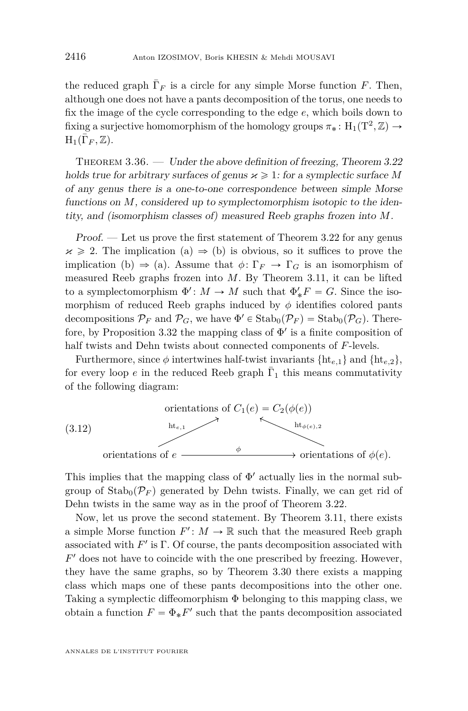the reduced graph  $\bar{\Gamma}_F$  is a circle for any simple Morse function *F*. Then, although one does not have a pants decomposition of the torus, one needs to fix the image of the cycle corresponding to the edge *e*, which boils down to fixing a surjective homomorphism of the homology groups  $\pi_* \colon H_1(T^2, \mathbb{Z}) \to$  ${\rm H}_1(\bar\Gamma_F, \mathbb{Z}).$ 

<span id="page-32-0"></span>THEOREM  $3.36.$  — Under the above definition of freezing, Theorem  $3.22$ holds true for arbitrary surfaces of genus  $\varkappa \geq 1$ : for a symplectic surface M of any genus there is a one-to-one correspondence between simple Morse functions on *M*, considered up to symplectomorphism isotopic to the identity, and (isomorphism classes of) measured Reeb graphs frozen into *M*.

Proof. — Let us prove the first statement of Theorem [3.22](#page-22-1) for any genus  $x \ge 2$ . The implication (a)  $\Rightarrow$  (b) is obvious, so it suffices to prove the implication (b)  $\Rightarrow$  (a). Assume that  $\phi \colon \Gamma_F \to \Gamma_G$  is an isomorphism of measured Reeb graphs frozen into *M*. By Theorem [3.11,](#page-14-2) it can be lifted to a symplectomorphism  $\Phi' : M \to M$  such that  $\Phi'_*F = G$ . Since the isomorphism of reduced Reeb graphs induced by  $\phi$  identifies colored pants decompositions  $\mathcal{P}_F$  and  $\mathcal{P}_G$ , we have  $\Phi' \in \text{Stab}_0(\mathcal{P}_F) = \text{Stab}_0(\mathcal{P}_G)$ . There-fore, by Proposition [3.32](#page-31-2) the mapping class of  $\Phi'$  is a finite composition of half twists and Dehn twists about connected components of *F*-levels.

Furthermore, since  $\phi$  intertwines half-twist invariants  $\{ht_{e,1}\}\$  and  $\{ht_{e,2}\},\$ for every loop  $e$  in the reduced Reeb graph  $\bar{\Gamma}_1$  this means commutativity of the following diagram:



This implies that the mapping class of  $\Phi'$  actually lies in the normal subgroup of  $\text{Stab}_0(\mathcal{P}_F)$  generated by Dehn twists. Finally, we can get rid of Dehn twists in the same way as in the proof of Theorem [3.22.](#page-22-1)

Now, let us prove the second statement. By Theorem [3.11,](#page-14-2) there exists a simple Morse function  $F' : M \to \mathbb{R}$  such that the measured Reeb graph associated with  $F'$  is  $\Gamma$ . Of course, the pants decomposition associated with *F* <sup>1</sup> does not have to coincide with the one prescribed by freezing. However, they have the same graphs, so by Theorem [3.30](#page-29-1) there exists a mapping class which maps one of these pants decompositions into the other one. Taking a symplectic diffeomorphism Φ belonging to this mapping class, we obtain a function  $F = \Phi_* F'$  such that the pants decomposition associated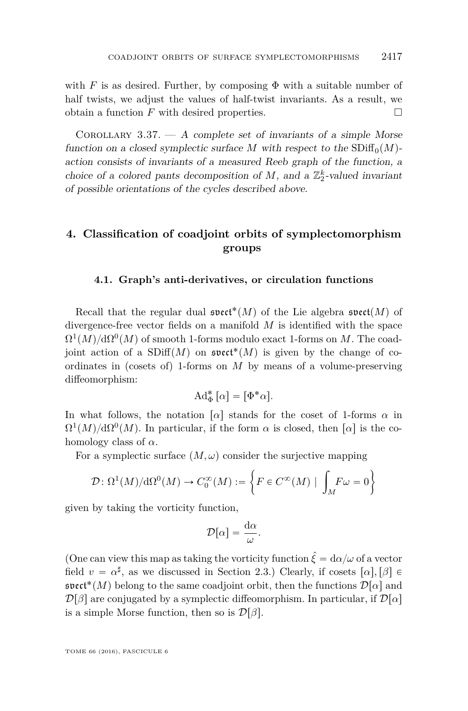with *F* is as desired. Further, by composing  $\Phi$  with a suitable number of half twists, we adjust the values of half-twist invariants. As a result, we obtain a function  $F$  with desired properties.  $\Box$ 

COROLLARY 3.37.  $- A$  complete set of invariants of a simple Morse function on a closed symplectic surface *M* with respect to the  $SDiff<sub>0</sub>(M)$ action consists of invariants of a measured Reeb graph of the function, a choice of a colored pants decomposition of  $M$ , and a  $\mathbb{Z}_2^k$ -valued invariant of possible orientations of the cycles described above.

#### **4. Classification of coadjoint orbits of symplectomorphism groups**

#### <span id="page-33-0"></span>**4.1. Graph's anti-derivatives, or circulation functions**

Recall that the regular dual  $\mathfrak{s}\mathfrak{vect}^*(M)$  of the Lie algebra  $\mathfrak{s}\mathfrak{vect}(M)$  of divergence-free vector fields on a manifold *M* is identified with the space  $\Omega^1(M)/\mathrm{d}\Omega^0(M)$  of smooth 1-forms modulo exact 1-forms on *M*. The coadjoint action of a  $SDiff(M)$  on  $\mathfrak{svet}^*(M)$  is given by the change of coordinates in (cosets of) 1-forms on *M* by means of a volume-preserving diffeomorphism:

$$
\mathrm{Ad}_\Phi^*\left[\alpha\right]=\big[\Phi^*\alpha\big].
$$

In what follows, the notation  $\lceil \alpha \rceil$  stands for the coset of 1-forms  $\alpha$  in  $\Omega^1(M)/d\Omega^0(M)$ . In particular, if the form  $\alpha$  is closed, then  $[\alpha]$  is the cohomology class of *α*.

For a symplectic surface  $(M, \omega)$  consider the surjective mapping

$$
\mathcal{D}\colon \Omega^1(M)/\mathrm{d}\Omega^0(M)\to C_0^\infty(M):=\bigg\{F\in C^\infty(M)\mid \,\int_M\!F\omega=0\bigg\}
$$

given by taking the vorticity function,

$$
\mathcal{D}[\alpha] = \frac{\mathrm{d}\alpha}{\omega}.
$$

(One can view this map as taking the vorticity function  $\hat{\xi} = d\alpha/\omega$  of a vector field  $v = \alpha^{\sharp}$ , as we discussed in Section [2.3.](#page-7-0)) Clearly, if cosets  $[\alpha], [\beta] \in$  $\mathfrak{svect}^*(M)$  belong to the same coadjoint orbit, then the functions  $\mathcal{D}[\alpha]$  and  $\mathcal{D}[\beta]$  are conjugated by a symplectic diffeomorphism. In particular, if  $\mathcal{D}[\alpha]$ is a simple Morse function, then so is  $\mathcal{D}[\beta]$ .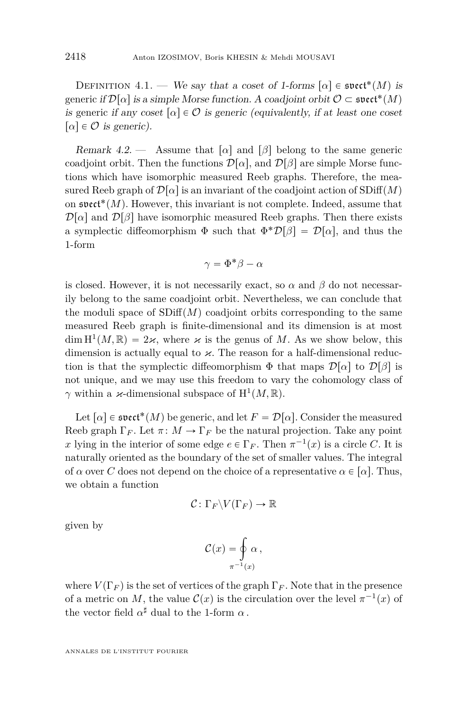DEFINITION 4.1. — We say that a coset of 1-forms  $[\alpha] \in \mathfrak{svect}^*(M)$  is  $\mathrm{generic\ if}\ \mathcal{D}[\alpha]\ \mathrm{is\ a\ simple\ Morse\ function}\ \mathrm{A\ coadjoint\ orbit}\ \mathcal{O}\subset\mathfrak{svet}^*(M)$ is generic if any coset  $\lceil \alpha \rceil \in \mathcal{O}$  is generic (equivalently, if at least one coset  $\lbrack \alpha \rbrack \in \mathcal{O}$  is generic).

Remark 4.2. — Assume that  $\lceil \alpha \rceil$  and  $\lceil \beta \rceil$  belong to the same generic coadjoint orbit. Then the functions  $\mathcal{D}[\alpha]$ , and  $\mathcal{D}[\beta]$  are simple Morse functions which have isomorphic measured Reeb graphs. Therefore, the measured Reeb graph of  $\mathcal{D}[\alpha]$  is an invariant of the coadjoint action of SDiff $(M)$ on  $\mathfrak{s}\mathfrak{vect}^*(M)$ . However, this invariant is not complete. Indeed, assume that  $\mathcal{D}[\alpha]$  and  $\mathcal{D}[\beta]$  have isomorphic measured Reeb graphs. Then there exists a symplectic diffeomorphism  $\Phi$  such that  $\Phi^* \mathcal{D}[\beta] = \mathcal{D}[\alpha]$ , and thus the 1-form

$$
\gamma = \Phi^* \beta - \alpha
$$

is closed. However, it is not necessarily exact, so  $\alpha$  and  $\beta$  do not necessarily belong to the same coadjoint orbit. Nevertheless, we can conclude that the moduli space of  $SDiff(M)$  coadjoint orbits corresponding to the same measured Reeb graph is finite-dimensional and its dimension is at most  $\dim H^1(M,\mathbb{R}) = 2\varkappa$ , where  $\varkappa$  is the genus of M. As we show below, this dimension is actually equal to  $\varkappa$ . The reason for a half-dimensional reduction is that the symplectic diffeomorphism  $\Phi$  that maps  $\mathcal{D}[\alpha]$  to  $\mathcal{D}[\beta]$  is not unique, and we may use this freedom to vary the cohomology class of *γ* within a *κ*-dimensional subspace of  $H^1(M, \mathbb{R})$ .

Let  $[\alpha] \in \mathfrak{s}\mathfrak{vect}^*(M)$  be generic, and let  $F = \mathcal{D}[\alpha]$ . Consider the measured Reeb graph  $\Gamma_F$ . Let  $\pi: M \to \Gamma_F$  be the natural projection. Take any point *x* lying in the interior of some edge  $e \in \Gamma_F$ . Then  $\pi^{-1}(x)$  is a circle *C*. It is naturally oriented as the boundary of the set of smaller values. The integral of  $\alpha$  over *C* does not depend on the choice of a representative  $\alpha \in [\alpha]$ . Thus, we obtain a function

$$
\mathcal{C} \colon \Gamma_F \backslash V(\Gamma_F) \to \mathbb{R}
$$

given by

$$
\mathcal{C}(x) = \oint_{\pi^{-1}(x)} \alpha \,,
$$

where  $V(\Gamma_F)$  is the set of vertices of the graph  $\Gamma_F$ . Note that in the presence of a metric on *M*, the value  $\mathcal{C}(x)$  is the circulation over the level  $\pi^{-1}(x)$  of the vector field  $\alpha^{\sharp}$  dual to the 1-form  $\alpha$ .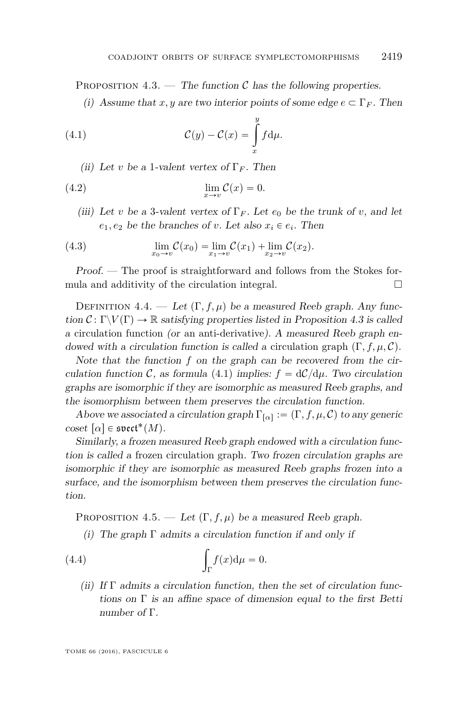<span id="page-35-0"></span>PROPOSITION 4.3. — The function  $\mathcal C$  has the following properties.

<span id="page-35-1"></span>(i) Assume that *x, y* are two interior points of some edge  $e \subset \Gamma_F$ . Then

(4.1) 
$$
\mathcal{C}(y) - \mathcal{C}(x) = \int_{x}^{y} f d\mu.
$$

<span id="page-35-2"></span>(ii) Let *v* be a 1-valent vertex of  $\Gamma_F$ . Then

(4.2) 
$$
\lim_{x \to v} C(x) = 0.
$$

<span id="page-35-3"></span>(iii) Let *v* be a 3-valent vertex of  $\Gamma_F$ . Let  $e_0$  be the trunk of *v*, and let  $e_1, e_2$  be the branches of *v*. Let also  $x_i \in e_i$ . Then

(4.3) 
$$
\lim_{x_0 \to v} C(x_0) = \lim_{x_1 \to v} C(x_1) + \lim_{x_2 \to v} C(x_2).
$$

Proof. — The proof is straightforward and follows from the Stokes formula and additivity of the circulation integral.  $\Box$ 

DEFINITION 4.4. — Let  $(\Gamma, f, \mu)$  be a measured Reeb graph. Any function  $C: \Gamma \backslash V(\Gamma) \to \mathbb{R}$  satisfying properties listed in Proposition [4.3](#page-35-0) is called a circulation function (or an anti-derivative). A measured Reeb graph endowed with a circulation function is called a circulation graph  $(\Gamma, f, \mu, \mathcal{C})$ .

Note that the function *f* on the graph can be recovered from the cir-culation function C, as formula [\(4.1\)](#page-35-1) implies:  $f = dC/d\mu$ . Two circulation graphs are isomorphic if they are isomorphic as measured Reeb graphs, and the isomorphism between them preserves the circulation function.

Above we associated a circulation graph  $\Gamma_{[\alpha]} := (\Gamma, f, \mu, \mathcal{C})$  to any generic  $\mathrm{coset}\;[\alpha]\in\mathfrak{s}\mathfrak{vect}^*(M).$ 

Similarly, a frozen measured Reeb graph endowed with a circulation function is called a frozen circulation graph. Two frozen circulation graphs are isomorphic if they are isomorphic as measured Reeb graphs frozen into a surface, and the isomorphism between them preserves the circulation function.

<span id="page-35-5"></span>PROPOSITION 4.5. — Let  $(\Gamma, f, \mu)$  be a measured Reeb graph.

<span id="page-35-4"></span>(i) The graph  $\Gamma$  admits a circulation function if and only if

(4.4) 
$$
\int_{\Gamma} f(x) d\mu = 0.
$$

(ii) If  $\Gamma$  admits a circulation function, then the set of circulation functions on  $\Gamma$  is an affine space of dimension equal to the first Betti number of Γ.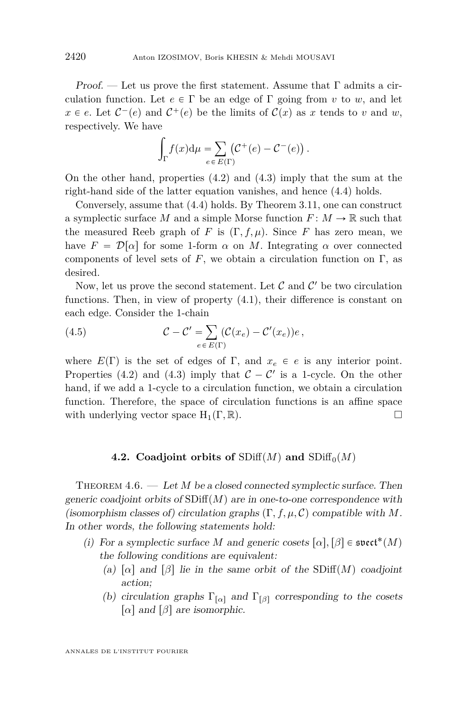Proof. — Let us prove the first statement. Assume that  $\Gamma$  admits a circulation function. Let  $e \in \Gamma$  be an edge of  $\Gamma$  going from *v* to *w*, and let  $x \in e$ . Let  $C^-(e)$  and  $C^+(e)$  be the limits of  $C(x)$  as *x* tends to *v* and *w*, respectively. We have ż

$$
\int_{\Gamma} f(x) d\mu = \sum_{e \in E(\Gamma)} (\mathcal{C}^+(e) - \mathcal{C}^-(e)).
$$

On the other hand, properties [\(4.2\)](#page-35-2) and [\(4.3\)](#page-35-3) imply that the sum at the right-hand side of the latter equation vanishes, and hence [\(4.4\)](#page-35-4) holds.

Conversely, assume that [\(4.4\)](#page-35-4) holds. By Theorem [3.11,](#page-14-2) one can construct a symplectic surface *M* and a simple Morse function  $F: M \to \mathbb{R}$  such that the measured Reeb graph of *F* is  $(\Gamma, f, \mu)$ . Since *F* has zero mean, we have  $F = \mathcal{D}[\alpha]$  for some 1-form  $\alpha$  on M. Integrating  $\alpha$  over connected components of level sets of  $F$ , we obtain a circulation function on  $\Gamma$ , as desired.

Now, let us prove the second statement. Let  $\mathcal C$  and  $\mathcal C'$  be two circulation functions. Then, in view of property [\(4.1\)](#page-35-1), their difference is constant on each edge. Consider the 1-chain  $\overset{\cdot}{=}%$ 

<span id="page-36-2"></span>(4.5) 
$$
\mathcal{C} - \mathcal{C}' = \sum_{e \in E(\Gamma)} (\mathcal{C}(x_e) - \mathcal{C}'(x_e))e,
$$

where  $E(\Gamma)$  is the set of edges of  $\Gamma$ , and  $x_e \in e$  is any interior point. Properties [\(4.2\)](#page-35-2) and [\(4.3\)](#page-35-3) imply that  $C - C'$  is a 1-cycle. On the other hand, if we add a 1-cycle to a circulation function, we obtain a circulation function. Therefore, the space of circulation functions is an affine space with underlying vector space  $H_1(\Gamma, \mathbb{R})$ .

#### **4.2.** Coadjoint orbits of  $SDiff(M)$  and  $SDiff<sub>0</sub>(M)$

<span id="page-36-1"></span><span id="page-36-0"></span>THEOREM 4.6. — Let *M* be a closed connected symplectic surface. Then generic coadjoint orbits of  $SDiff(M)$  are in one-to-one correspondence with (isomorphism classes of) circulation graphs  $(\Gamma, f, \mu, \mathcal{C})$  compatible with *M*. In other words, the following statements hold:

- (i) For a symplectic surface *M* and generic cosets  $[\alpha], [\beta] \in \mathfrak{s}\mathfrak{vect}^*(M)$ the following conditions are equivalent:
	- (a)  $\lceil \alpha \rceil$  and  $\lceil \beta \rceil$  lie in the same orbit of the SDiff $(M)$  coadjoint action;
	- (b) circulation graphs  $\Gamma_{\lbrack \alpha \rbrack}$  and  $\Gamma_{\lbrack \beta \rbrack}$  corresponding to the cosets *[* $α$ *]* and *[* $β$ *]* are isomorphic.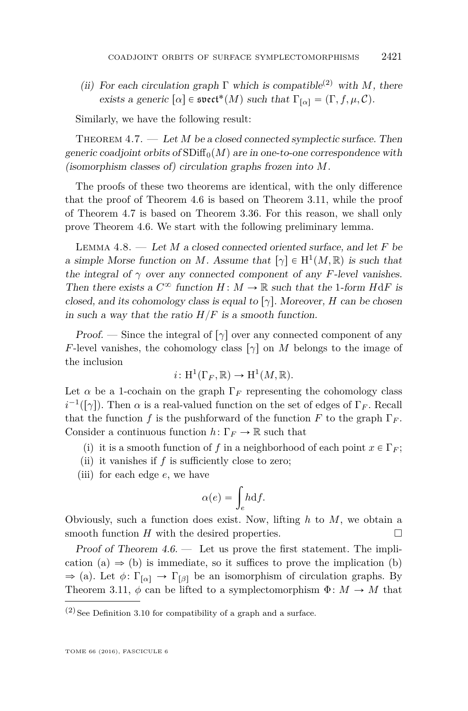(ii) For each circulation graph  $\Gamma$  which is compatible<sup>(2)</sup> with *M*, there exists a generic  $[\alpha] \in \mathfrak{svect}^*(M)$  such that  $\Gamma_{[\alpha]} = (\Gamma, f, \mu, \mathcal{C})$ .

Similarly, we have the following result:

<span id="page-37-0"></span>THEOREM 4.7. — Let *M* be a closed connected symplectic surface. Then generic coadjoint orbits of  $SDiff<sub>0</sub>(M)$  are in one-to-one correspondence with (isomorphism classes of) circulation graphs frozen into *M*.

The proofs of these two theorems are identical, with the only difference that the proof of Theorem [4.6](#page-36-1) is based on Theorem [3.11,](#page-14-2) while the proof of Theorem [4.7](#page-37-0) is based on Theorem [3.36.](#page-32-0) For this reason, we shall only prove Theorem [4.6.](#page-36-1) We start with the following preliminary lemma.

<span id="page-37-1"></span>Lemma 4.8. — Let *M* a closed connected oriented surface, and let *F* be a simple Morse function on *M*. Assume that  $[\gamma] \in H^1(M, \mathbb{R})$  is such that the integral of  $\gamma$  over any connected component of any *F*-level vanishes. Then there exists a  $C^\infty$  function  $H\colon M\to\mathbb{R}$  such that the 1-form  $H\mathrm{d} F$  is closed, and its cohomology class is equal to  $\lceil \gamma \rceil$ . Moreover, *H* can be chosen in such a way that the ratio  $H/F$  is a smooth function.

*Proof.* — Since the integral of  $\lceil \gamma \rceil$  over any connected component of any *F*-level vanishes, the cohomology class  $\lceil \gamma \rceil$  on *M* belongs to the image of the inclusion

$$
i\colon \mathrm{H}^1(\Gamma_F, \mathbb{R}) \to \mathrm{H}^1(M, \mathbb{R}).
$$

Let  $\alpha$  be a 1-cochain on the graph  $\Gamma_F$  representing the cohomology class  $i^{-1}([\gamma])$ . Then  $\alpha$  is a real-valued function on the set of edges of  $\Gamma_F$ . Recall that the function *f* is the pushforward of the function *F* to the graph  $\Gamma_F$ . Consider a continuous function  $h: \Gamma_F \to \mathbb{R}$  such that

- (i) it is a smooth function of *f* in a neighborhood of each point  $x \in \Gamma_F$ ;
- (ii) it vanishes if *f* is sufficiently close to zero;
- (iii) for each edge *e*, we have

$$
\alpha(e) = \int_e h \mathrm{d}f.
$$

Obviously, such a function does exist. Now, lifting *h* to *M*, we obtain a smooth function  $H$  with the desired properties.

Proof of Theorem  $4.6.$  — Let us prove the first statement. The implication (a)  $\Rightarrow$  (b) is immediate, so it suffices to prove the implication (b)  $\Rightarrow$  (a). Let  $\phi: \Gamma_{\lbrack \alpha \rbrack} \rightarrow \Gamma_{\lbrack \beta \rbrack}$  be an isomorphism of circulation graphs. By Theorem [3.11,](#page-14-2)  $\phi$  can be lifted to a symplectomorphism  $\Phi: M \to M$  that

 $\left( 2\right)$  See Definition [3.10](#page-14-3) for compatibility of a graph and a surface.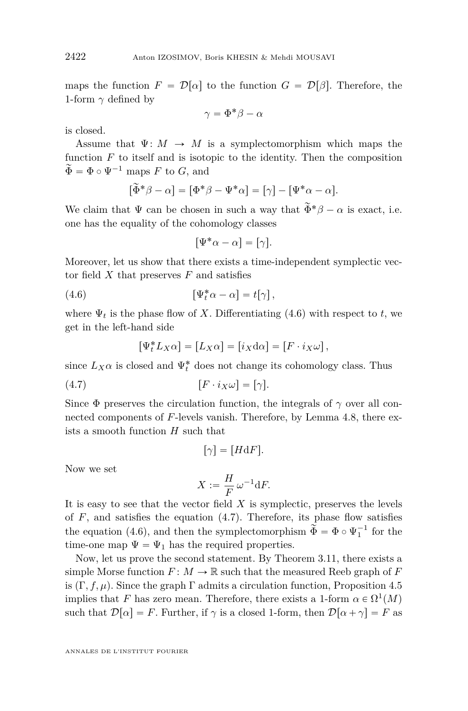maps the function  $F = \mathcal{D}[\alpha]$  to the function  $G = \mathcal{D}[\beta]$ . Therefore, the 1-form  $\gamma$  defined by

$$
\gamma = \Phi^* \beta - \alpha
$$

is closed.

Assume that  $\Psi: M \to M$  is a symplectomorphism which maps the function  $F$  to itself and is isotopic to the identity. Then the composition  $\widetilde{\Phi} = \Phi \circ \Psi^{-1}$  maps *F* to *G*, and

$$
[\tilde{\Phi}^*\beta - \alpha] = [\Phi^*\beta - \Psi^*\alpha] = [\gamma] - [\Psi^*\alpha - \alpha].
$$

We claim that  $\Psi$  can be chosen in such a way that  $\tilde{\Phi}^* \beta - \alpha$  is exact, i.e. one has the equality of the cohomology classes

<span id="page-38-0"></span>
$$
[\Psi^*\alpha - \alpha] = [\gamma].
$$

Moreover, let us show that there exists a time-independent symplectic vector field *X* that preserves *F* and satisfies

(4.6) 
$$
\left[\Psi_t^*\alpha - \alpha\right] = t[\gamma],
$$

where  $\Psi_t$  is the phase flow of *X*. Differentiating [\(4.6\)](#page-38-0) with respect to *t*, we get in the left-hand side

<span id="page-38-1"></span>
$$
[\Psi_t^* L_X \alpha] = [L_X \alpha] = [i_X d\alpha] = [F \cdot i_X \omega],
$$

since  $L_X\alpha$  is closed and  $\Psi_t^*$  does not change its cohomology class. Thus

$$
(4.7) \t\t\t [F \cdot i_X \omega] = [\gamma].
$$

Since  $\Phi$  preserves the circulation function, the integrals of  $\gamma$  over all connected components of *F*-levels vanish. Therefore, by Lemma [4.8,](#page-37-1) there exists a smooth function *H* such that

$$
[\gamma] = [H \mathrm{d} F].
$$

Now we set

$$
X:=\frac{H}{F}\,\omega^{-1}\textup{d} F.
$$

It is easy to see that the vector field *X* is symplectic, preserves the levels of  $F$ , and satisfies the equation  $(4.7)$ . Therefore, its phase flow satisfies the equation [\(4.6\)](#page-38-0), and then the symplectomorphism  $\tilde{\Phi} = \Phi \circ \Psi_1^{-1}$  for the time-one map  $\Psi = \Psi_1$  has the required properties.

Now, let us prove the second statement. By Theorem [3.11,](#page-14-2) there exists a simple Morse function  $F: M \to \mathbb{R}$  such that the measured Reeb graph of F is  $(\Gamma, f, \mu)$ . Since the graph  $\Gamma$  admits a circulation function, Proposition [4.5](#page-35-5) implies that *F* has zero mean. Therefore, there exists a 1-form  $\alpha \in \Omega^1(M)$ such that  $\mathcal{D}[\alpha] = F$ . Further, if  $\gamma$  is a closed 1-form, then  $\mathcal{D}[\alpha + \gamma] = F$  as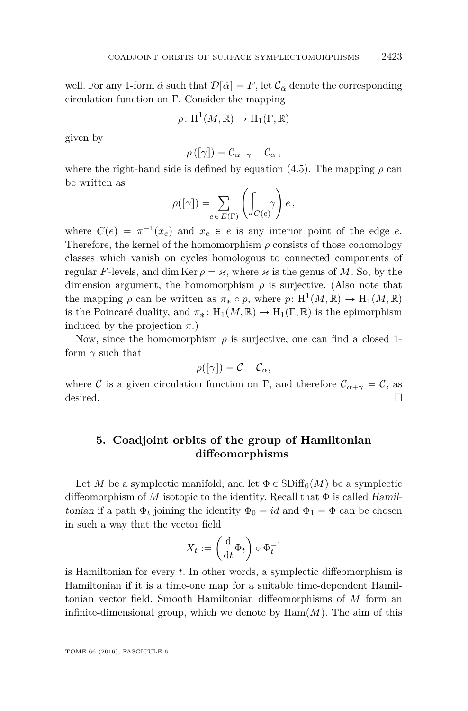well. For any 1-form  $\tilde{\alpha}$  such that  $\mathcal{D}[\tilde{\alpha}] = F$ , let  $\mathcal{C}_{\tilde{\alpha}}$  denote the corresponding circulation function on Γ. Consider the mapping

$$
\rho\colon \mathrm{H}^1(M,\mathbb{R})\to \mathrm{H}_1(\Gamma,\mathbb{R})
$$

given by

$$
\rho([\gamma]) = C_{\alpha+\gamma} - C_{\alpha},
$$

where the right-hand side is defined by equation  $(4.5)$ . The mapping  $\rho$  can be written as  $\overline{z}$  $\mathbf{z}$ 

$$
\rho([\gamma]) = \sum_{e \in E(\Gamma)} \left( \int_{C(e)} \gamma \right) e,
$$

where  $C(e) = \pi^{-1}(x_e)$  and  $x_e \in e$  is any interior point of the edge *e*. Therefore, the kernel of the homomorphism  $\rho$  consists of those cohomology classes which vanish on cycles homologous to connected components of regular *F*-levels, and dim Ker  $\rho = \varkappa$ , where  $\varkappa$  is the genus of M. So, by the dimension argument, the homomorphism  $\rho$  is surjective. (Also note that the mapping  $\rho$  can be written as  $\pi_* \circ p$ , where  $p: H^1(M, \mathbb{R}) \to H_1(M, \mathbb{R})$ is the Poincaré duality, and  $\pi_* : H_1(M, \mathbb{R}) \to H_1(\Gamma, \mathbb{R})$  is the epimorphism induced by the projection  $\pi$ .)

Now, since the homomorphism  $\rho$  is surjective, one can find a closed 1form  $\gamma$  such that

$$
\rho([\gamma]) = \mathcal{C} - \mathcal{C}_{\alpha},
$$

where C is a given circulation function on Γ, and therefore  $\mathcal{C}_{\alpha+\gamma} = \mathcal{C}$ , as desired.  $\Box$ 

#### <span id="page-39-0"></span>**5. Coadjoint orbits of the group of Hamiltonian diffeomorphisms**

Let *M* be a symplectic manifold, and let  $\Phi \in SDiff_0(M)$  be a symplectic diffeomorphism of *M* isotopic to the identity. Recall that  $\Phi$  is called Hamiltonian if a path  $\Phi_t$  joining the identity  $\Phi_0 = id$  and  $\Phi_1 = \Phi$  can be chosen in such a way that the vector field ˙

$$
X_t := \left(\frac{\mathrm{d}}{\mathrm{d}t} \Phi_t\right) \circ \Phi_t^{-1}
$$

is Hamiltonian for every *t*. In other words, a symplectic diffeomorphism is Hamiltonian if it is a time-one map for a suitable time-dependent Hamiltonian vector field. Smooth Hamiltonian diffeomorphisms of *M* form an infinite-dimensional group, which we denote by  $\text{Ham}(M)$ . The aim of this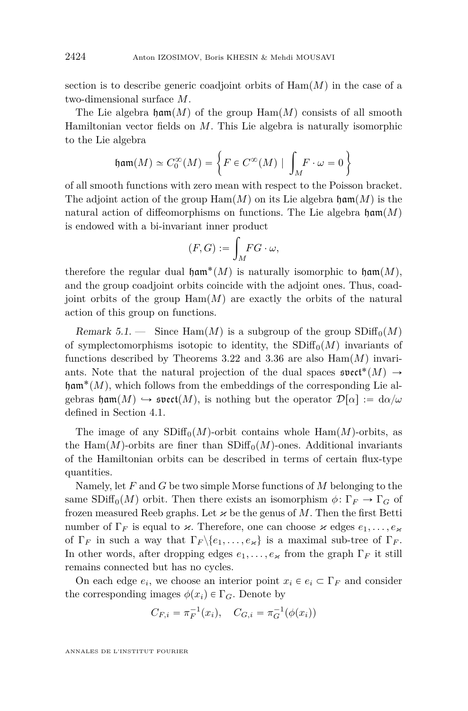section is to describe generic coadjoint orbits of  $\text{Ham}(M)$  in the case of a two-dimensional surface *M*.

The Lie algebra  $\text{ham}(M)$  of the group  $\text{Ham}(M)$  consists of all smooth Hamiltonian vector fields on *M*. This Lie algebra is naturally isomorphic to the Lie algebra \*

$$
\mathfrak{ham}(M) \simeq C_0^{\infty}(M) = \left\{ F \in C^{\infty}(M) \mid \int_M F \cdot \omega = 0 \right\}
$$

of all smooth functions with zero mean with respect to the Poisson bracket. The adjoint action of the group  $\text{Ham}(M)$  on its Lie algebra  $\text{ham}(M)$  is the natural action of diffeomorphisms on functions. The Lie algebra  $\mathfrak{ham}(M)$ is endowed with a bi-invariant inner product

$$
(F,G):=\int_M\!FG\cdot\omega,
$$

therefore the regular dual  $\mathfrak{ham}^*(M)$  is naturally isomorphic to  $\mathfrak{ham}(M)$ , and the group coadjoint orbits coincide with the adjoint ones. Thus, coadjoint orbits of the group  $\text{Ham}(M)$  are exactly the orbits of the natural action of this group on functions.

Remark 5.1. — Since Ham $(M)$  is a subgroup of the group  $SDiff_0(M)$ of symplectomorphisms isotopic to identity, the  $SDiff<sub>0</sub>(M)$  invariants of functions described by Theorems [3.22](#page-22-1) and [3.36](#page-32-0) are also  $\text{Ham}(M)$  invariants. Note that the natural projection of the dual spaces  $\mathfrak{svect}^*(M) \to$  $\mathfrak{ham}^*(M)$ , which follows from the embeddings of the corresponding Lie algebras  $\mathfrak{h}$ **am** $(M) \hookrightarrow$  **svect** $(M)$ , is nothing but the operator  $\mathcal{D}[\alpha] := d\alpha/\omega$ defined in Section [4.1.](#page-33-0)

The image of any  $SDiff_0(M)$ -orbit contains whole  $Ham(M)$ -orbits, as the Ham $(M)$ -orbits are finer than  $SDiff<sub>0</sub>(M)$ -ones. Additional invariants of the Hamiltonian orbits can be described in terms of certain flux-type quantities.

Namely, let *F* and *G* be two simple Morse functions of *M* belonging to the same  $SDiff_0(M)$  orbit. Then there exists an isomorphism  $\phi: \Gamma_F \to \Gamma_G$  of frozen measured Reeb graphs. Let  $\varkappa$  be the genus of M. Then the first Betti number of  $\Gamma_F$  is equal to  $\varkappa$ . Therefore, one can choose  $\varkappa$  edges  $e_1, \ldots, e_{\varkappa}$ of  $\Gamma_F$  in such a way that  $\Gamma_F \backslash \{e_1, \ldots, e_{\varkappa}\}\$ is a maximal sub-tree of  $\Gamma_F$ . In other words, after dropping edges  $e_1, \ldots, e_{\varkappa}$  from the graph  $\Gamma_F$  it still remains connected but has no cycles.

On each edge  $e_i$ , we choose an interior point  $x_i \in e_i \subset \Gamma_F$  and consider the corresponding images  $\phi(x_i) \in \Gamma_G$ . Denote by

$$
C_{F,i} = \pi_F^{-1}(x_i), \quad C_{G,i} = \pi_G^{-1}(\phi(x_i))
$$

ANNALES DE L'INSTITUT FOURIER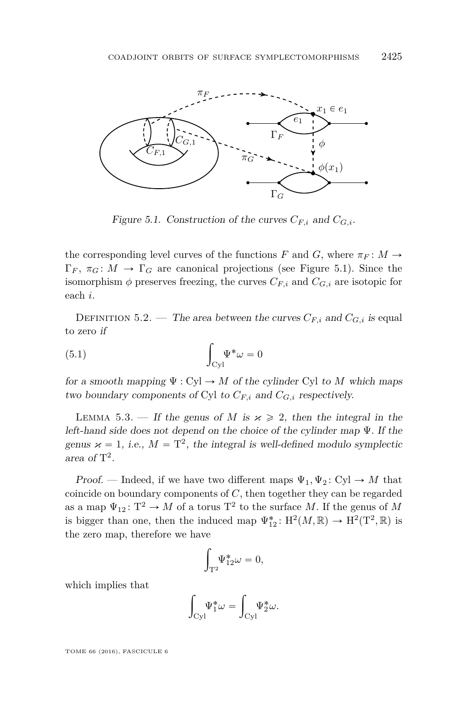

<span id="page-41-0"></span>Figure 5.1. Construction of the curves  $C_{F,i}$  and  $C_{G,i}$ .

the corresponding level curves of the functions *F* and *G*, where  $\pi_F : M \to$  $\Gamma_F$ ,  $\pi_G: M \to \Gamma_G$  are canonical projections (see Figure [5.1\)](#page-41-0). Since the isomorphism  $\phi$  preserves freezing, the curves  $C_{F,i}$  and  $C_{G,i}$  are isotopic for each *i*.

DEFINITION 5.2. — The area between the curves  $C_{F,i}$  and  $C_{G,i}$  is equal to zero if

<span id="page-41-1"></span>(5.1) 
$$
\int_{\text{Cyl}} \Psi^* \omega = 0
$$

for a smooth mapping  $\Psi : Cyl \to M$  of the cylinder Cyl to M which maps two boundary components of Cyl to  $C_{F,i}$  and  $C_{G,i}$  respectively.

LEMMA 5.3. — If the genus of *M* is  $\varkappa \geq 2$ , then the integral in the left-hand side does not depend on the choice of the cylinder map Ψ. If the genus  $\varkappa = 1$ , *i.e.*,  $M = T^2$ , the integral is well-defined modulo symplectic area of  $T^2$ .

Proof. — Indeed, if we have two different maps  $\Psi_1, \Psi_2$ : Cyl  $\rightarrow M$  that coincide on boundary components of *C*, then together they can be regarded as a map  $\Psi_{12}$ :  $T^2 \to M$  of a torus  $T^2$  to the surface *M*. If the genus of *M* is bigger than one, then the induced map  $\Psi_{12}^* : H^2(M, \mathbb{R}) \to H^2(T^2, \mathbb{R})$  is the zero map, therefore we have

$$
\int_{\mathbf{T}^2} \Psi_{12}^* \omega = 0,
$$

which implies that

$$
\int_{\rm Cyl} \!\!\!\!\Psi_1^*\omega = \int_{\rm Cyl} \!\!\!\!\!\Psi_2^*\omega.
$$

TOME 66 (2016), FASCICULE 6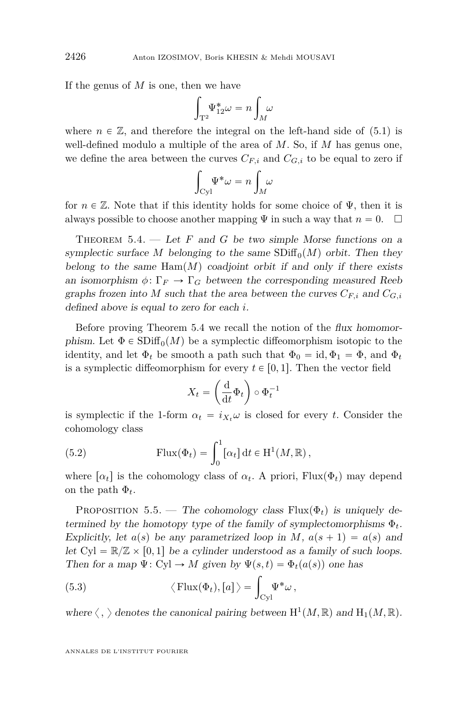If the genus of  $M$  is one, then we have

$$
\int_{\mathbf{T}^2} \Psi_{12}^* \omega = n \int_M \omega
$$

where  $n \in \mathbb{Z}$ , and therefore the integral on the left-hand side of [\(5.1\)](#page-41-1) is well-defined modulo a multiple of the area of *M*. So, if *M* has genus one, we define the area between the curves  $C_{F,i}$  and  $C_{G,i}$  to be equal to zero if

$$
\int_{\text{Cyl}} \Psi^* \omega = n \int_M \omega
$$

for  $n \in \mathbb{Z}$ . Note that if this identity holds for some choice of  $\Psi$ , then it is always possible to choose another mapping  $\Psi$  in such a way that  $n = 0$ .  $\Box$ 

<span id="page-42-0"></span>THEOREM  $5.4.$  — Let F and G be two simple Morse functions on a symplectic surface *M* belonging to the same  $SDiff<sub>0</sub>(M)$  orbit. Then they belong to the same  $\text{Ham}(M)$  coadjoint orbit if and only if there exists an isomorphism  $\phi \colon \Gamma_F \to \Gamma_G$  between the corresponding measured Reeb graphs frozen into *M* such that the area between the curves  $C_{F,i}$  and  $C_{G,i}$ defined above is equal to zero for each *i*.

Before proving Theorem [5.4](#page-42-0) we recall the notion of the flux homomorphism. Let  $\Phi \in SDiff_0(M)$  be a symplectic diffeomorphism isotopic to the identity, and let  $\Phi_t$  be smooth a path such that  $\Phi_0 = id$ ,  $\Phi_1 = \Phi$ , and  $\Phi_t$ is a symplectic diffeomorphism for every  $t \in [0, 1]$ . Then the vector field

$$
X_t = \left(\frac{\mathrm{d}}{\mathrm{d}t} \Phi_t\right) \circ \Phi_t^{-1}
$$

is symplectic if the 1-form  $\alpha_t = i_{X_t} \omega$  is closed for every *t*. Consider the cohomology class

<span id="page-42-2"></span>(5.2) 
$$
\text{Flux}(\Phi_t) = \int_0^1 [\alpha_t] dt \in \mathcal{H}^1(M, \mathbb{R}),
$$

where  $\lceil \alpha_t \rceil$  is the cohomology class of  $\alpha_t$ . A priori, Flux $(\Phi_t)$  may depend on the path  $\Phi_t$ .

PROPOSITION 5.5. — The cohomology class  $Flux(\Phi_t)$  is uniquely determined by the homotopy type of the family of symplectomorphisms  $\Phi_t$ . Explicitly, let  $a(s)$  be any parametrized loop in *M*,  $a(s + 1) = a(s)$  and let  $Cyl = \mathbb{R}/\mathbb{Z} \times [0, 1]$  be a cylinder understood as a family of such loops.

<span id="page-42-1"></span>Then for a map 
$$
\Psi: Cyl \to M
$$
 given by  $\Psi(s, t) = \Phi_t(a(s))$  one has  
(5.3)  $\langle \text{Flux}(\Phi_t), [a] \rangle = \int_{Cyl} \Psi^* \omega$ ,

where  $\langle , \rangle$  denotes the canonical pairing between  $H^1(M, \mathbb{R})$  and  $H_1(M, \mathbb{R})$ .

ANNALES DE L'INSTITUT FOURIER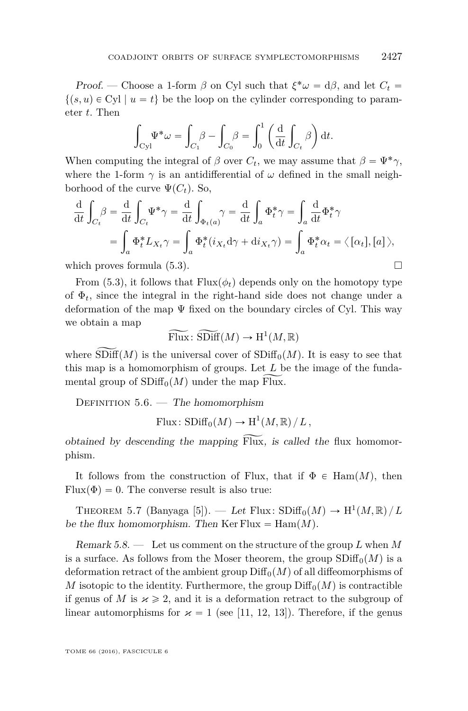Proof. — Choose a 1-form  $\beta$  on Cyl such that  $\xi^* \omega = d\beta$ , and let  $C_t$  $\{(s, u) \in Cyl \mid u = t\}$  be the loop on the cylinder corresponding to parameter *t*. Then ˆ ˙

$$
\int_{\text{Cyl}} \Psi^* \omega = \int_{C_1} \beta - \int_{C_0} \beta = \int_0^1 \left( \frac{d}{dt} \int_{C_t} \beta \right) dt.
$$

When computing the integral of  $\beta$  over  $C_t$ , we may assume that  $\beta = \Psi^* \gamma$ , where the 1-form  $\gamma$  is an antidifferential of  $\omega$  defined in the small neighborhood of the curve  $\Psi(C_t)$ . So,

$$
\frac{\mathrm{d}}{\mathrm{d}t} \int_{C_t} \beta = \frac{\mathrm{d}}{\mathrm{d}t} \int_{C_t} \Psi^* \gamma = \frac{\mathrm{d}}{\mathrm{d}t} \int_{\Phi_t(a)} \gamma = \frac{\mathrm{d}}{\mathrm{d}t} \int_a \Phi_t^* \gamma = \int_a \frac{\mathrm{d}}{\mathrm{d}t} \Phi_t^* \gamma
$$
\n
$$
= \int_a \Phi_t^* L_{X_t} \gamma = \int_a \Phi_t^* (i_{X_t} \mathrm{d} \gamma + \mathrm{d}i_{X_t} \gamma) = \int_a \Phi_t^* \alpha_t = \langle [\alpha_t], [a] \rangle,
$$

which proves formula  $(5.3)$ .

From [\(5.3\)](#page-42-1), it follows that  $Flux(\phi_t)$  depends only on the homotopy type of  $\Phi_t$ , since the integral in the right-hand side does not change under a deformation of the map  $\Psi$  fixed on the boundary circles of Cyl. This way we obtain a map

 $\widetilde{\mathrm{Flux}}$ :  $\widetilde{\mathrm{SDiff}}(M) \to \mathrm{H}^1(M,\mathbb{R})$ 

where  $SDiff(M)$  is the universal cover of  $SDiff<sub>0</sub>(M)$ . It is easy to see that this map is a homomorphism of groups. Let *L* be the image of the fundamental group of  $SDiff_0(M)$  under the map Flux.

DEFINITION  $5.6.$  — The homomorphism

 $\text{Flux: SDiff}_0(M) \to \text{H}^1(M,\mathbb{R})/L,$ 

obtained by descending the mapping  $Flux$ , is called the flux homomorphism.

It follows from the construction of Flux, that if  $\Phi \in \text{Ham}(M)$ , then  $Flux(\Phi) = 0$ . The converse result is also true:

<span id="page-43-0"></span>THEOREM 5.7 (Banyaga [\[5\]](#page-48-15)). — Let Flux:  $SDiff_0(M) \rightarrow H^1(M, \mathbb{R})/L$ be the flux homomorphism. Then  $\text{Ker Flux} = \text{Ham}(M)$ .

Remark 5.8. — Let us comment on the structure of the group *L* when *M* is a surface. As follows from the Moser theorem, the group  $SDiff<sub>0</sub>(M)$  is a deformation retract of the ambient group  $\text{Diff}_0(M)$  of all diffeomorphisms of *M* isotopic to the identity. Furthermore, the group  $\text{Diff}_0(M)$  is contractible if genus of *M* is  $\varkappa \geq 2$ , and it is a deformation retract to the subgroup of linear automorphisms for  $\varkappa = 1$  (see [\[11,](#page-48-16) [12,](#page-48-12) [13\]](#page-48-17)). Therefore, if the genus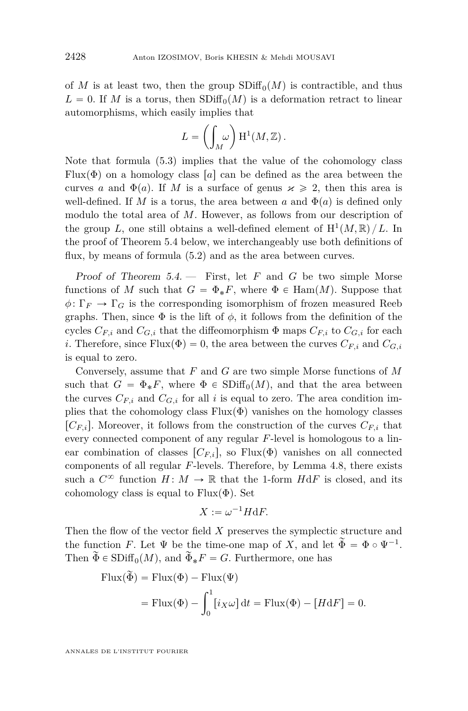of *M* is at least two, then the group  $SDiff_0(M)$  is contractible, and thus  $L = 0$ . If *M* is a torus, then  $SDiff_0(M)$  is a deformation retract to linear automorphisms, which easily implies that

$$
L = \left(\int_M \omega\right) H^1(M, \mathbb{Z}).
$$

Note that formula [\(5.3\)](#page-42-1) implies that the value of the cohomology class Flux( $\Phi$ ) on a homology class [a] can be defined as the area between the curves *a* and  $\Phi(a)$ . If *M* is a surface of genus  $x \ge 2$ , then this area is well-defined. If *M* is a torus, the area between *a* and  $\Phi(a)$  is defined only modulo the total area of *M*. However, as follows from our description of the group *L*, one still obtains a well-defined element of  $H^1(M, \mathbb{R})/L$ . In the proof of Theorem [5.4](#page-42-0) below, we interchangeably use both definitions of flux, by means of formula  $(5.2)$  and as the area between curves.

Proof of Theorem [5.4.](#page-42-0) — First, let *F* and *G* be two simple Morse functions of *M* such that  $G = \Phi_* F$ , where  $\Phi \in \text{Ham}(M)$ . Suppose that  $\phi \colon \Gamma_F \to \Gamma_G$  is the corresponding isomorphism of frozen measured Reeb graphs. Then, since  $\Phi$  is the lift of  $\phi$ , it follows from the definition of the cycles  $C_{F,i}$  and  $C_{G,i}$  that the diffeomorphism  $\Phi$  maps  $C_{F,i}$  to  $C_{G,i}$  for each *i*. Therefore, since  $Flux(\Phi) = 0$ , the area between the curves  $C_{F,i}$  and  $C_{G,i}$ is equal to zero.

Conversely, assume that *F* and *G* are two simple Morse functions of *M* such that  $G = \Phi_* F$ , where  $\Phi \in SDiff_0(M)$ , and that the area between the curves  $C_{F,i}$  and  $C_{G,i}$  for all *i* is equal to zero. The area condition implies that the cohomology class  $Flux(\Phi)$  vanishes on the homology classes  $[C_{F,i}]$ . Moreover, it follows from the construction of the curves  $C_{F,i}$  that every connected component of any regular *F*-level is homologous to a linear combination of classes  $\lbrack C_{F,i}\rbrack$ , so Flux $(\Phi)$  vanishes on all connected components of all regular *F*-levels. Therefore, by Lemma [4.8,](#page-37-1) there exists such a  $C^{\infty}$  function  $H: M \to \mathbb{R}$  that the 1-form  $H \, dF$  is closed, and its cohomology class is equal to  $Flux(\Phi)$ . Set

$$
X := \omega^{-1} H \mathrm{d} F.
$$

Then the flow of the vector field *X* preserves the symplectic structure and the function *F*. Let  $\Psi$  be the time-one map of X, and let  $\widetilde{\Phi} = \Phi \circ \Psi^{-1}$ . Then  $\widetilde{\Phi} \in SDiff_0(M)$ , and  $\widetilde{\Phi}_*F = G$ . Furthermore, one has

Flux(
$$
\tilde{\Phi}
$$
) = Flux( $\Phi$ ) - Flux( $\Psi$ )  
= Flux( $\Phi$ ) -  $\int_0^1 [i_X \omega] dt$  = Flux( $\Phi$ ) - [HdF] = 0.

ANNALES DE L'INSTITUT FOURIER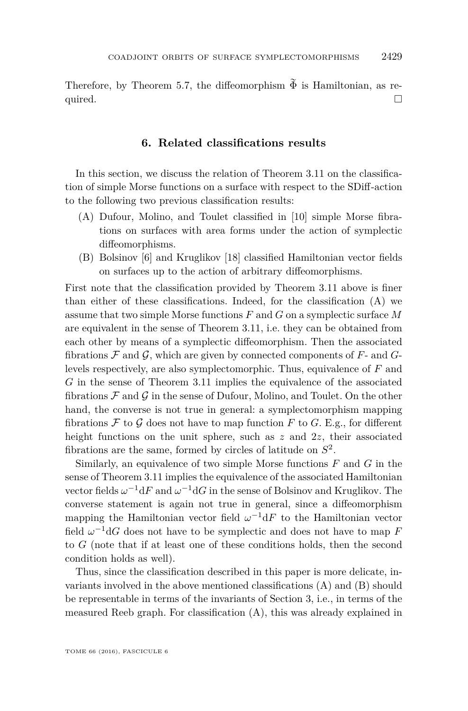Therefore, by Theorem [5.7,](#page-43-0) the diffeomorphism  $\widetilde{\Phi}$  is Hamiltonian, as required.  $\Box$ 

#### **6. Related classifications results**

In this section, we discuss the relation of Theorem [3.11](#page-14-2) on the classification of simple Morse functions on a surface with respect to the SDiff-action to the following two previous classification results:

- (A) Dufour, Molino, and Toulet classified in [\[10\]](#page-48-8) simple Morse fibrations on surfaces with area forms under the action of symplectic diffeomorphisms.
- (B) Bolsinov [\[6\]](#page-48-18) and Kruglikov [\[18\]](#page-48-19) classified Hamiltonian vector fields on surfaces up to the action of arbitrary diffeomorphisms.

First note that the classification provided by Theorem [3.11](#page-14-2) above is finer than either of these classifications. Indeed, for the classification (A) we assume that two simple Morse functions *F* and *G* on a symplectic surface *M* are equivalent in the sense of Theorem [3.11,](#page-14-2) i.e. they can be obtained from each other by means of a symplectic diffeomorphism. Then the associated fibrations  $\mathcal F$  and  $\mathcal G$ , which are given by connected components of  $F$ - and  $G$ levels respectively, are also symplectomorphic. Thus, equivalence of *F* and *G* in the sense of Theorem [3.11](#page-14-2) implies the equivalence of the associated fibrations  $\mathcal F$  and  $\mathcal G$  in the sense of Dufour, Molino, and Toulet. On the other hand, the converse is not true in general: a symplectomorphism mapping fibrations  $\mathcal F$  to  $\mathcal G$  does not have to map function  $F$  to  $G$ . E.g., for different height functions on the unit sphere, such as z and  $2z$ , their associated fibrations are the same, formed by circles of latitude on *S* 2 .

Similarly, an equivalence of two simple Morse functions *F* and *G* in the sense of Theorem [3.11](#page-14-2) implies the equivalence of the associated Hamiltonian vector fields  $\omega^{-1} dF$  and  $\omega^{-1} dG$  in the sense of Bolsinov and Kruglikov. The converse statement is again not true in general, since a diffeomorphism mapping the Hamiltonian vector field  $\omega^{-1} dF$  to the Hamiltonian vector field  $\omega^{-1}$ d*G* does not have to be symplectic and does not have to map *F* to *G* (note that if at least one of these conditions holds, then the second condition holds as well).

Thus, since the classification described in this paper is more delicate, invariants involved in the above mentioned classifications (A) and (B) should be representable in terms of the invariants of Section [3,](#page-10-3) i.e., in terms of the measured Reeb graph. For classification (A), this was already explained in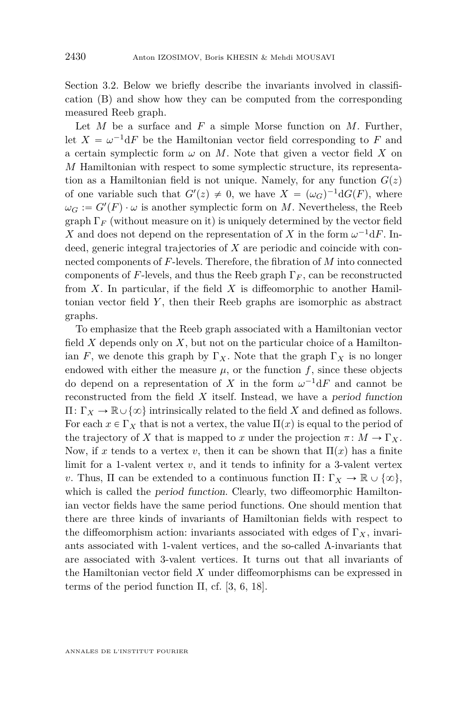Section [3.2.](#page-14-0) Below we briefly describe the invariants involved in classification (B) and show how they can be computed from the corresponding measured Reeb graph.

Let *M* be a surface and *F* a simple Morse function on *M*. Further, let  $X = \omega^{-1} dF$  be the Hamiltonian vector field corresponding to F and a certain symplectic form  $\omega$  on  $M$ . Note that given a vector field  $X$  on *M* Hamiltonian with respect to some symplectic structure, its representation as a Hamiltonian field is not unique. Namely, for any function  $G(z)$ of one variable such that  $G'(z) \neq 0$ , we have  $X = (\omega_G)^{-1} dG(F)$ , where  $\omega_G := G'(F) \cdot \omega$  is another symplectic form on *M*. Nevertheless, the Reeb graph  $\Gamma_F$  (without measure on it) is uniquely determined by the vector field *X* and does not depend on the representation of *X* in the form  $\omega^{-1}$ d*F*. Indeed, generic integral trajectories of *X* are periodic and coincide with connected components of *F*-levels. Therefore, the fibration of *M* into connected components of *F*-levels, and thus the Reeb graph Γ*<sup>F</sup>* , can be reconstructed from *X*. In particular, if the field *X* is diffeomorphic to another Hamiltonian vector field *Y* , then their Reeb graphs are isomorphic as abstract graphs.

To emphasize that the Reeb graph associated with a Hamiltonian vector field  $X$  depends only on  $X$ , but not on the particular choice of a Hamiltonian *F*, we denote this graph by  $\Gamma_X$ . Note that the graph  $\Gamma_X$  is no longer endowed with either the measure  $\mu$ , or the function  $f$ , since these objects do depend on a representation of *X* in the form  $\omega^{-1} dF$  and cannot be reconstructed from the field *X* itself. Instead, we have a period function  $\Pi: Γ<sub>X</sub> → ℝ ∪ {∞}$  intrinsically related to the field *X* and defined as follows. For each  $x \in \Gamma_X$  that is not a vertex, the value  $\Pi(x)$  is equal to the period of the trajectory of *X* that is mapped to *x* under the projection  $\pi \colon M \to \Gamma_X$ . Now, if x tends to a vertex v, then it can be shown that  $\Pi(x)$  has a finite limit for a 1-valent vertex *v*, and it tends to infinity for a 3-valent vertex *v*. Thus, Π can be extended to a continuous function  $\Pi: \Gamma_X \to \mathbb{R} \cup \{\infty\},\$ which is called the *period function*. Clearly, two diffeomorphic Hamiltonian vector fields have the same period functions. One should mention that there are three kinds of invariants of Hamiltonian fields with respect to the diffeomorphism action: invariants associated with edges of  $\Gamma_X$ , invariants associated with 1-valent vertices, and the so-called  $\Lambda$ -invariants that are associated with 3-valent vertices. It turns out that all invariants of the Hamiltonian vector field *X* under diffeomorphisms can be expressed in terms of the period function  $\Pi$ , cf. [\[3,](#page-48-10) [6,](#page-48-18) [18\]](#page-48-19).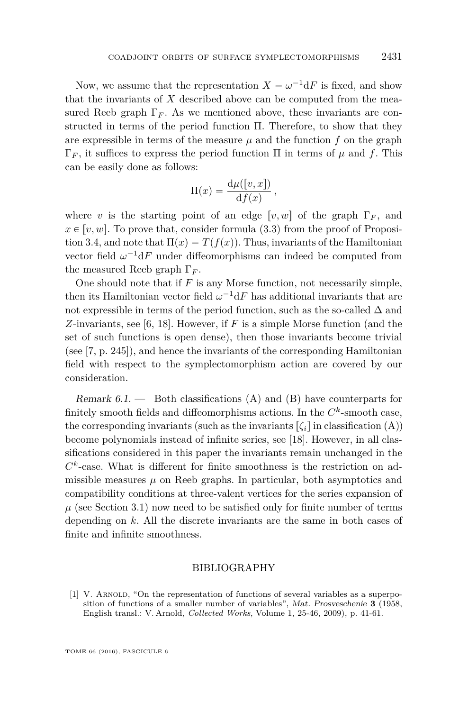Now, we assume that the representation  $X = \omega^{-1} dF$  is fixed, and show that the invariants of *X* described above can be computed from the measured Reeb graph  $\Gamma_F$ . As we mentioned above, these invariants are constructed in terms of the period function Π. Therefore, to show that they are expressible in terms of the measure  $\mu$  and the function  $f$  on the graph Γ*<sup>F</sup>* , it suffices to express the period function Π in terms of *µ* and *f*. This can be easily done as follows:

$$
\Pi(x) = \frac{\mathrm{d}\mu([v,x])}{\mathrm{d}f(x)},
$$

where *v* is the starting point of an edge  $[v, w]$  of the graph  $\Gamma_F$ , and  $x \in [v, w]$ . To prove that, consider formula [\(3.3\)](#page-13-0) from the proof of Proposi-tion [3.4,](#page-11-1) and note that  $\Pi(x) = T(f(x))$ . Thus, invariants of the Hamiltonian vector field  $\omega^{-1} dF$  under diffeomorphisms can indeed be computed from the measured Reeb graph Γ*<sup>F</sup>* .

One should note that if *F* is any Morse function, not necessarily simple, then its Hamiltonian vector field  $\omega^{-1} dF$  has additional invariants that are not expressible in terms of the period function, such as the so-called  $\Delta$  and *Z*-invariants, see [\[6,](#page-48-18) [18\]](#page-48-19). However, if *F* is a simple Morse function (and the set of such functions is open dense), then those invariants become trivial (see [\[7,](#page-48-20) p. 245]), and hence the invariants of the corresponding Hamiltonian field with respect to the symplectomorphism action are covered by our consideration.

Remark  $6.1.$  — Both classifications (A) and (B) have counterparts for finitely smooth fields and diffeomorphisms actions. In the  $C<sup>k</sup>$ -smooth case, the corresponding invariants (such as the invariants  $\lbrack \zeta_i \rbrack$  in classification (A)) become polynomials instead of infinite series, see [\[18\]](#page-48-19). However, in all classifications considered in this paper the invariants remain unchanged in the  $C<sup>k</sup>$ -case. What is different for finite smoothness is the restriction on admissible measures  $\mu$  on Reeb graphs. In particular, both asymptotics and compatibility conditions at three-valent vertices for the series expansion of  $\mu$  (see Section [3.1\)](#page-10-0) now need to be satisfied only for finite number of terms depending on *k*. All the discrete invariants are the same in both cases of finite and infinite smoothness.

#### BIBLIOGRAPHY

<span id="page-47-0"></span>[1] V. Arnold, "On the representation of functions of several variables as a superposition of functions of a smaller number of variables", Mat. Prosveschenie **3** (1958, English transl.: V. Arnold, *Collected Works*, Volume 1, 25-46, 2009), p. 41-61.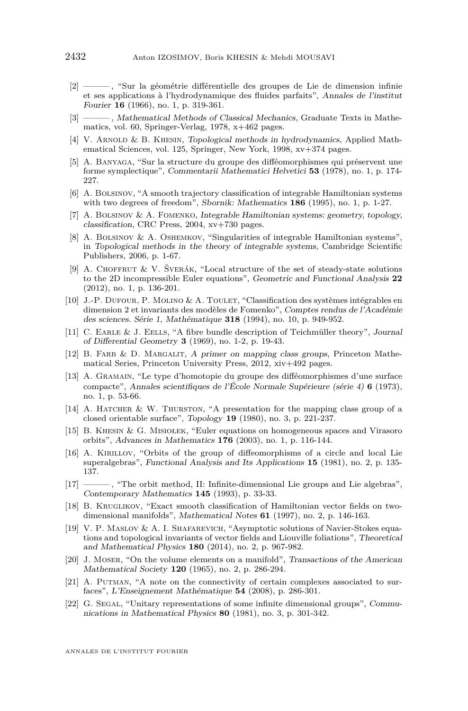- <span id="page-48-6"></span>[2] ——— , "Sur la géométrie différentielle des groupes de Lie de dimension infinie et ses applications à l'hydrodynamique des fluides parfaits", Annales de l'institut Fourier **16** (1966), no. 1, p. 319-361.
- <span id="page-48-10"></span>[3] ——— , Mathematical Methods of Classical Mechanics, Graduate Texts in Mathematics, vol. 60, Springer-Verlag, 1978, x+462 pages.
- <span id="page-48-0"></span>[4] V. ARNOLD & B. KHESIN, Topological methods in hydrodynamics, Applied Mathematical Sciences, vol. 125, Springer, New York, 1998, xv+374 pages.
- <span id="page-48-15"></span>[5] A. Banyaga, "Sur la structure du groupe des difféomorphismes qui préservent une forme symplectique", Commentarii Mathematici Helvetici **53** (1978), no. 1, p. 174- 227.
- <span id="page-48-18"></span>[6] A. Bolsinov, "A smooth trajectory classification of integrable Hamiltonian systems with two degrees of freedom", Sbornik: Mathematics **186** (1995), no. 1, p. 1-27.
- <span id="page-48-20"></span>[7] A. Bolsinov & A. Fomenko, Integrable Hamiltonian systems: geometry, topology, classification, CRC Press, 2004, xv+730 pages.
- <span id="page-48-9"></span>[8] A. Bolsinov & A. Oshemkov, "Singularities of integrable Hamiltonian systems", in Topological methods in the theory of integrable systems, Cambridge Scientific Publishers, 2006, p. 1-67.
- <span id="page-48-4"></span>[9] A. Choffrut & V. Šverák, "Local structure of the set of steady-state solutions to the 2D incompressible Euler equations", Geometric and Functional Analysis **22** (2012), no. 1, p. 136-201.
- <span id="page-48-8"></span>[10] J.-P. Dufour, P. Molino & A. Toulet, "Classification des systèmes intégrables en dimension 2 et invariants des modèles de Fomenko", Comptes rendus de l'Académie des sciences. Série 1, Mathématique **318** (1994), no. 10, p. 949-952.
- <span id="page-48-16"></span>[11] C. Earle & J. Eells, "A fibre bundle description of Teichmüller theory", Journal of Differential Geometry **3** (1969), no. 1-2, p. 19-43.
- <span id="page-48-12"></span>[12] B. FARB & D. MARGALIT, A primer on mapping class groups, Princeton Mathematical Series, Princeton University Press, 2012, xiv+492 pages.
- <span id="page-48-17"></span>[13] A. Gramain, "Le type d'homotopie du groupe des difféomorphismes d'une surface compacte", Annales scientifiques de l'École Normale Supérieure (série 4) **6** (1973), no. 1, p. 53-66.
- <span id="page-48-13"></span>[14] A. HATCHER & W. THURSTON, "A presentation for the mapping class group of a closed orientable surface", Topology **19** (1980), no. 3, p. 221-237.
- <span id="page-48-5"></span>[15] B. Khesin & G. Misiołek, "Euler equations on homogeneous spaces and Virasoro orbits", Advances in Mathematics **176** (2003), no. 1, p. 116-144.
- <span id="page-48-1"></span>[16] A. Kirillov, "Orbits of the group of diffeomorphisms of a circle and local Lie superalgebras", Functional Analysis and Its Applications **15** (1981), no. 2, p. 135- 137.
- <span id="page-48-2"></span>[17] ——— , "The orbit method, II: Infinite-dimensional Lie groups and Lie algebras", Contemporary Mathematics **145** (1993), p. 33-33.
- <span id="page-48-19"></span>[18] B. Kruglikov, "Exact smooth classification of Hamiltonian vector fields on twodimensional manifolds", Mathematical Notes **61** (1997), no. 2, p. 146-163.
- <span id="page-48-7"></span>[19] V. P. Maslov & A. I. Shafarevich, "Asymptotic solutions of Navier-Stokes equations and topological invariants of vector fields and Liouville foliations", Theoretical and Mathematical Physics **180** (2014), no. 2, p. 967-982.
- <span id="page-48-11"></span>[20] J. Moser, "On the volume elements on a manifold", Transactions of the American Mathematical Society **120** (1965), no. 2, p. 286-294.
- <span id="page-48-14"></span>[21] A. PUTMAN, "A note on the connectivity of certain complexes associated to surfaces", L'Enseignement Mathématique **54** (2008), p. 286-301.
- <span id="page-48-3"></span>[22] G. SEGAL, "Unitary representations of some infinite dimensional groups", Communications in Mathematical Physics **80** (1981), no. 3, p. 301-342.